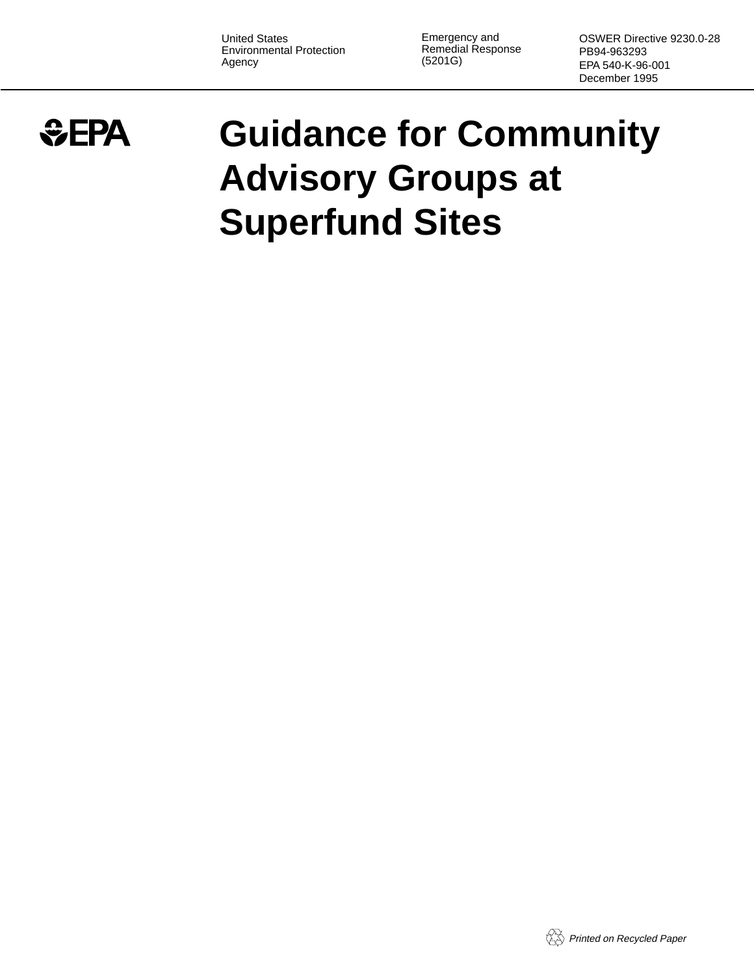United States Environmental Protection Agency

Emergency and Remedial Response (5201G)

OSWER Directive 9230.0-28 PB94-963293 EPA 540-K-96-001 December 1995

# $EPA$

# **Guidance for Community Advisory Groups at Superfund Sites**

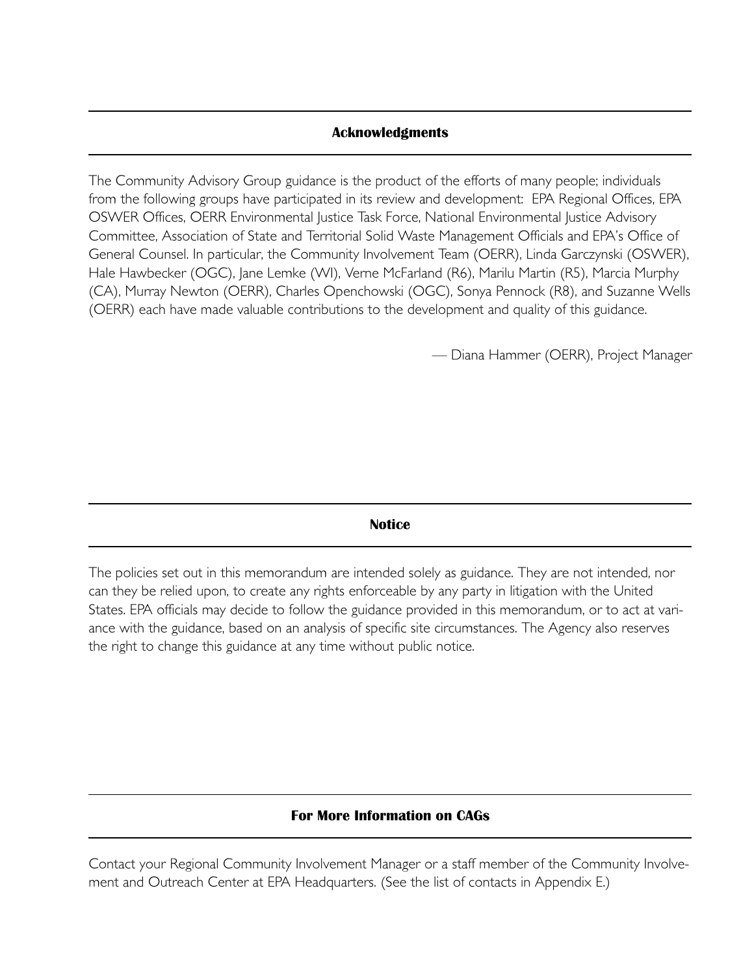## **Acknowledgments**

The Community Advisory Group guidance is the product of the efforts of many people; individuals from the following groups have participated in its review and development: EPA Regional Offices, EPA OSWER Offices, OERR Environmental Justice Task Force, National Environmental Justice Advisory Committee, Association of State and Territorial Solid Waste Management Officials and EPA's Office of General Counsel. In particular, the Community Involvement Team (OERR), Linda Garczynski (OSWER), Hale Hawbecker (OGC), Jane Lemke (WI), Verne McFarland (R6), Marilu Martin (R5), Marcia Murphy (CA), Murray Newton (OERR), Charles Openchowski (OGC), Sonya Pennock (R8), and Suzanne Wells (OERR) each have made valuable contributions to the development and quality of this guidance.

— Diana Hammer (OERR), Project Manager

**Notice**

The policies set out in this memorandum are intended solely as guidance. They are not intended, nor can they be relied upon, to create any rights enforceable by any party in litigation with the United States. EPA officials may decide to follow the guidance provided in this memorandum, or to act at variance with the guidance, based on an analysis of specific site circumstances. The Agency also reserves the right to change this guidance at any time without public notice.

# **For More Information on CAGs**

Contact your Regional Community Involvement Manager or a staff member of the Community Involvement and Outreach Center at EPA Headquarters. (See the list of contacts in Appendix E.)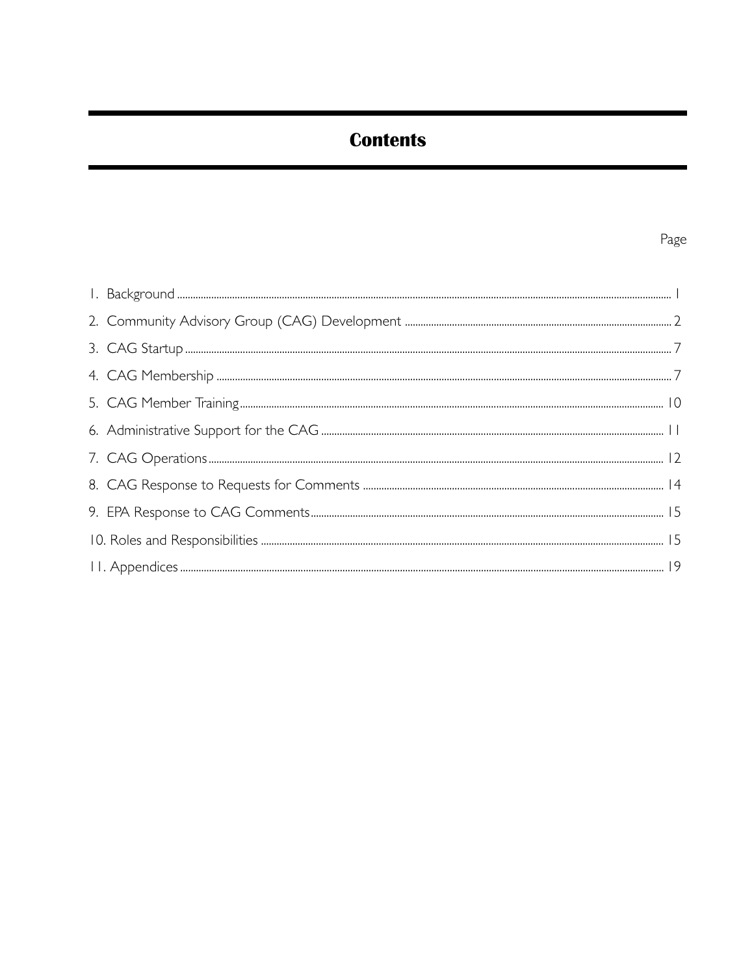# **Contents**

# Page

| $\begin{minipage}[c]{0.9\linewidth} \begin{minipage}[c]{0.9\linewidth} \begin{minipage}[c]{0.9\linewidth} \begin{minipage}[c]{0.9\linewidth} \end{minipage}[c]{0.9\linewidth} \end{minipage}[c]{0.9\linewidth} \begin{minipage}[c]{0.9\linewidth} \begin{minipage}[c]{0.9\linewidth} \end{minipage}[c]{0.9\linewidth} \end{minipage}[c]{0.9\linewidth} \begin{minipage}[c]{0.9\linewidth} \begin{minipage}[c]{0.9\linewidth} \end{minipage}[c]{0.9\linewidth} \end{minipage}[c]{0.9\linewidth} \end{minipage}[c]{0$ |  |
|---------------------------------------------------------------------------------------------------------------------------------------------------------------------------------------------------------------------------------------------------------------------------------------------------------------------------------------------------------------------------------------------------------------------------------------------------------------------------------------------------------------------|--|
|                                                                                                                                                                                                                                                                                                                                                                                                                                                                                                                     |  |
|                                                                                                                                                                                                                                                                                                                                                                                                                                                                                                                     |  |
|                                                                                                                                                                                                                                                                                                                                                                                                                                                                                                                     |  |
|                                                                                                                                                                                                                                                                                                                                                                                                                                                                                                                     |  |
|                                                                                                                                                                                                                                                                                                                                                                                                                                                                                                                     |  |
|                                                                                                                                                                                                                                                                                                                                                                                                                                                                                                                     |  |
|                                                                                                                                                                                                                                                                                                                                                                                                                                                                                                                     |  |
|                                                                                                                                                                                                                                                                                                                                                                                                                                                                                                                     |  |
|                                                                                                                                                                                                                                                                                                                                                                                                                                                                                                                     |  |
|                                                                                                                                                                                                                                                                                                                                                                                                                                                                                                                     |  |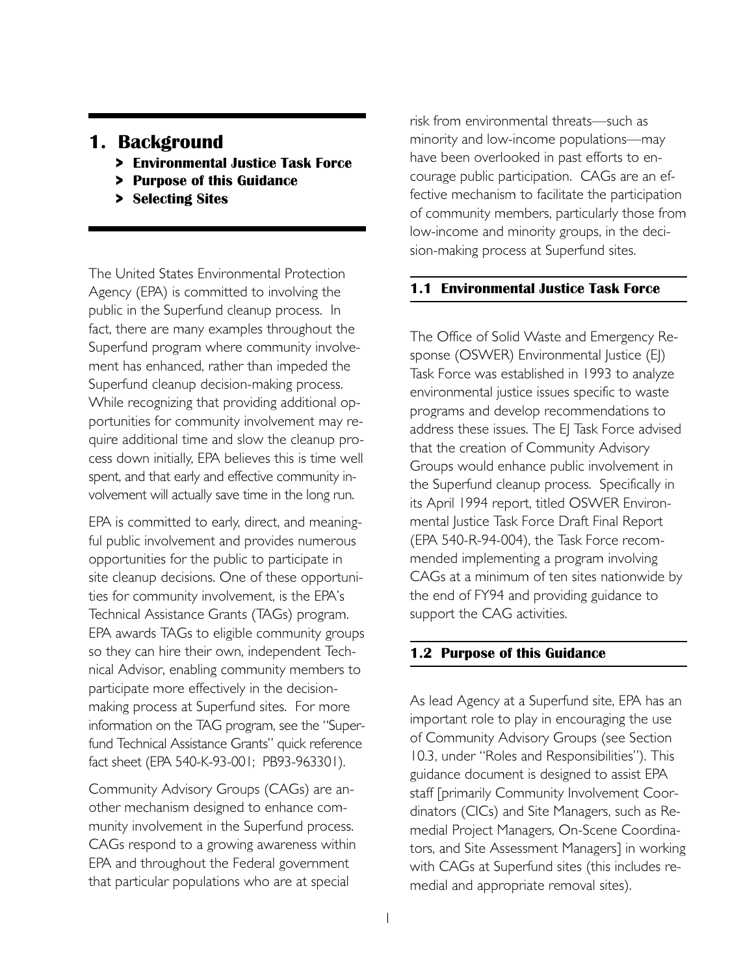# **1. Background**

- **> Environmental Justice Task Force**
- **> Purpose of this Guidance**
- **> Selecting Sites**

The United States Environmental Protection Agency (EPA) is committed to involving the public in the Superfund cleanup process. In fact, there are many examples throughout the Superfund program where community involvement has enhanced, rather than impeded the Superfund cleanup decision-making process. While recognizing that providing additional opportunities for community involvement may require additional time and slow the cleanup process down initially, EPA believes this is time well spent, and that early and effective community involvement will actually save time in the long run.

EPA is committed to early, direct, and meaningful public involvement and provides numerous opportunities for the public to participate in site cleanup decisions. One of these opportunities for community involvement, is the EPA's Technical Assistance Grants (TAGs) program. EPA awards TAGs to eligible community groups so they can hire their own, independent Technical Advisor, enabling community members to participate more effectively in the decisionmaking process at Superfund sites. For more information on the TAG program, see the "Superfund Technical Assistance Grants" quick reference fact sheet (EPA 540-K-93-001; PB93-963301).

Community Advisory Groups (CAGs) are another mechanism designed to enhance community involvement in the Superfund process. CAGs respond to a growing awareness within EPA and throughout the Federal government that particular populations who are at special

risk from environmental threats—such as minority and low-income populations—may have been overlooked in past efforts to encourage public participation. CAGs are an effective mechanism to facilitate the participation of community members, particularly those from low-income and minority groups, in the decision-making process at Superfund sites.

# **1.1 Environmental Justice Task Force**

The Office of Solid Waste and Emergency Response (OSWER) Environmental Justice (EJ) Task Force was established in 1993 to analyze environmental justice issues specific to waste programs and develop recommendations to address these issues. The EJ Task Force advised that the creation of Community Advisory Groups would enhance public involvement in the Superfund cleanup process. Specifically in its April 1994 report, titled OSWER Environmental Justice Task Force Draft Final Report (EPA 540-R-94-004), the Task Force recommended implementing a program involving CAGs at a minimum of ten sites nationwide by the end of FY94 and providing guidance to support the CAG activities.

# **1.2 Purpose of this Guidance**

As lead Agency at a Superfund site, EPA has an important role to play in encouraging the use of Community Advisory Groups (see Section 10.3, under "Roles and Responsibilities"). This guidance document is designed to assist EPA staff [primarily Community Involvement Coordinators (CICs) and Site Managers, such as Remedial Project Managers, On-Scene Coordinators, and Site Assessment Managers] in working with CAGs at Superfund sites (this includes remedial and appropriate removal sites).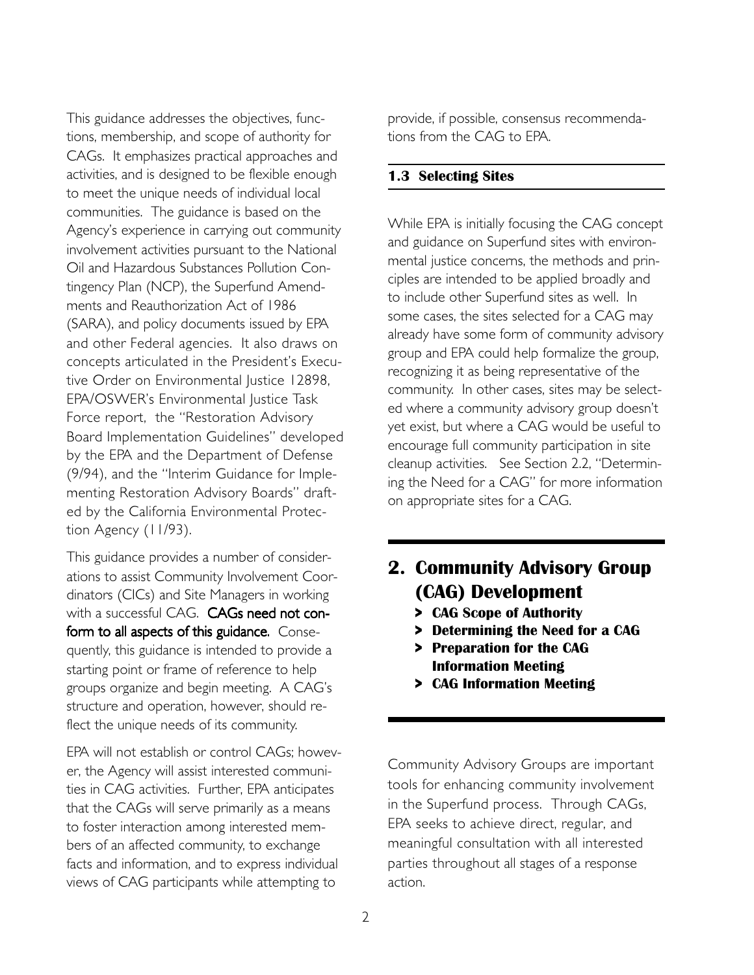This guidance addresses the objectives, functions, membership, and scope of authority for CAGs. It emphasizes practical approaches and activities, and is designed to be flexible enough to meet the unique needs of individual local communities. The guidance is based on the Agency's experience in carrying out community involvement activities pursuant to the National Oil and Hazardous Substances Pollution Contingency Plan (NCP), the Superfund Amendments and Reauthorization Act of 1986 (SARA), and policy documents issued by EPA and other Federal agencies. It also draws on concepts articulated in the President's Executive Order on Environmental Justice 12898, EPA/OSWER's Environmental Justice Task Force report, the "Restoration Advisory Board Implementation Guidelines" developed by the EPA and the Department of Defense (9/94), and the "Interim Guidance for Implementing Restoration Advisory Boards" drafted by the California Environmental Protection Agency (11/93).

This guidance provides a number of considerations to assist Community Involvement Coordinators (CICs) and Site Managers in working with a successful CAG. CAGs need not conform to all aspects of this guidance. Consequently, this guidance is intended to provide a starting point or frame of reference to help groups organize and begin meeting. A CAG's structure and operation, however, should reflect the unique needs of its community.

EPA will not establish or control CAGs; however, the Agency will assist interested communities in CAG activities. Further, EPA anticipates that the CAGs will serve primarily as a means to foster interaction among interested members of an affected community, to exchange facts and information, and to express individual views of CAG participants while attempting to

provide, if possible, consensus recommendations from the CAG to EPA.

#### **1.3 Selecting Sites**

While EPA is initially focusing the CAG concept and guidance on Superfund sites with environmental justice concerns, the methods and principles are intended to be applied broadly and to include other Superfund sites as well. In some cases, the sites selected for a CAG may already have some form of community advisory group and EPA could help formalize the group, recognizing it as being representative of the community. In other cases, sites may be selected where a community advisory group doesn't yet exist, but where a CAG would be useful to encourage full community participation in site cleanup activities. See Section 2.2, "Determining the Need for a CAG" for more information on appropriate sites for a CAG.

# **2. Community Advisory Group (CAG) Development**

- **> CAG Scope of Authority**
- **> Determining the Need for a CAG**
- **> Preparation for the CAG Information Meeting**
- **> CAG Information Meeting**

Community Advisory Groups are important tools for enhancing community involvement in the Superfund process. Through CAGs, EPA seeks to achieve direct, regular, and meaningful consultation with all interested parties throughout all stages of a response action.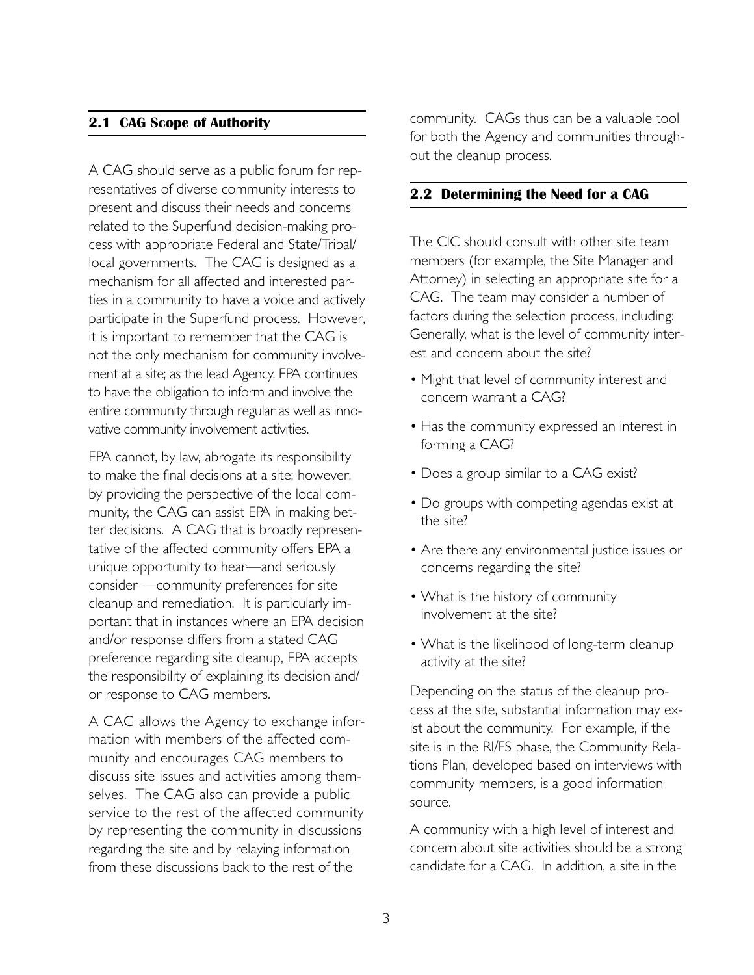## **2.1 CAG Scope of Authority**

A CAG should serve as a public forum for representatives of diverse community interests to present and discuss their needs and concerns related to the Superfund decision-making process with appropriate Federal and State/Tribal/ local governments. The CAG is designed as a mechanism for all affected and interested parties in a community to have a voice and actively participate in the Superfund process. However, it is important to remember that the CAG is not the only mechanism for community involvement at a site; as the lead Agency, EPA continues to have the obligation to inform and involve the entire community through regular as well as innovative community involvement activities.

EPA cannot, by law, abrogate its responsibility to make the final decisions at a site; however, by providing the perspective of the local community, the CAG can assist EPA in making better decisions. A CAG that is broadly representative of the affected community offers EPA a unique opportunity to hear—and seriously consider —community preferences for site cleanup and remediation. It is particularly important that in instances where an EPA decision and/or response differs from a stated CAG preference regarding site cleanup, EPA accepts the responsibility of explaining its decision and/ or response to CAG members.

A CAG allows the Agency to exchange information with members of the affected community and encourages CAG members to discuss site issues and activities among themselves. The CAG also can provide a public service to the rest of the affected community by representing the community in discussions regarding the site and by relaying information from these discussions back to the rest of the

community. CAGs thus can be a valuable tool for both the Agency and communities throughout the cleanup process.

## **2.2 Determining the Need for a CAG**

The CIC should consult with other site team members (for example, the Site Manager and Attorney) in selecting an appropriate site for a CAG. The team may consider a number of factors during the selection process, including: Generally, what is the level of community interest and concern about the site?

- Might that level of community interest and concern warrant a CAG?
- Has the community expressed an interest in forming a CAG?
- Does a group similar to a CAG exist?
- Do groups with competing agendas exist at the site?
- Are there any environmental justice issues or concerns regarding the site?
- What is the history of community involvement at the site?
- What is the likelihood of long-term cleanup activity at the site?

Depending on the status of the cleanup process at the site, substantial information may exist about the community. For example, if the site is in the RI/FS phase, the Community Relations Plan, developed based on interviews with community members, is a good information source.

A community with a high level of interest and concern about site activities should be a strong candidate for a CAG. In addition, a site in the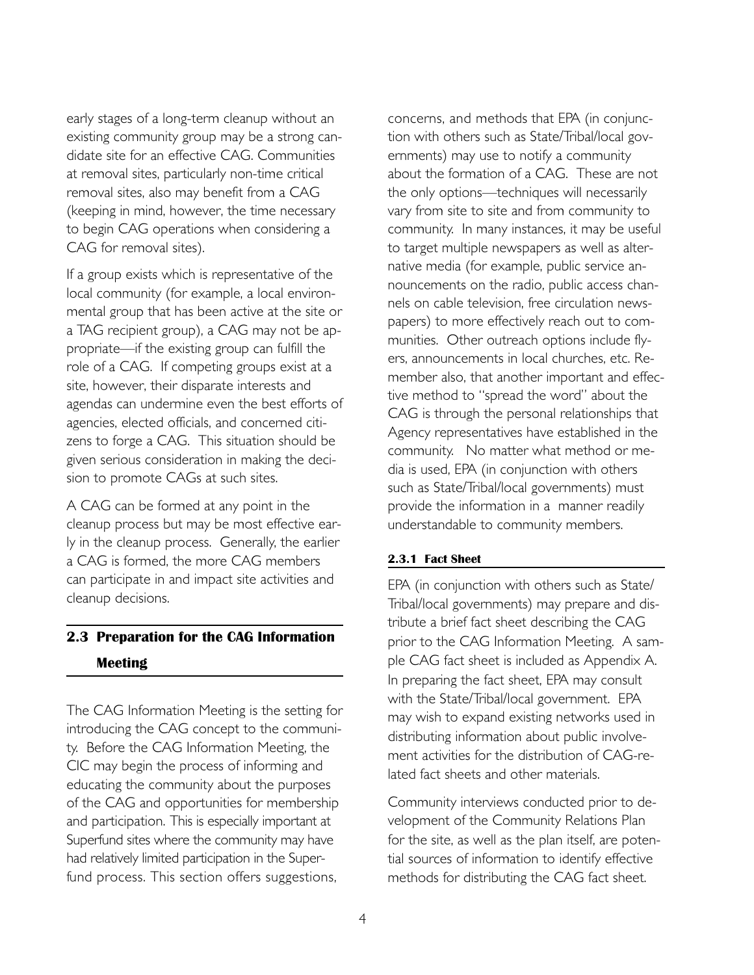early stages of a long-term cleanup without an existing community group may be a strong candidate site for an effective CAG. Communities at removal sites, particularly non-time critical removal sites, also may benefit from a CAG (keeping in mind, however, the time necessary to begin CAG operations when considering a CAG for removal sites).

If a group exists which is representative of the local community (for example, a local environmental group that has been active at the site or a TAG recipient group), a CAG may not be appropriate—if the existing group can fulfill the role of a CAG. If competing groups exist at a site, however, their disparate interests and agendas can undermine even the best efforts of agencies, elected officials, and concerned citizens to forge a CAG. This situation should be given serious consideration in making the decision to promote CAGs at such sites.

A CAG can be formed at any point in the cleanup process but may be most effective early in the cleanup process. Generally, the earlier a CAG is formed, the more CAG members can participate in and impact site activities and cleanup decisions.

# **2.3 Preparation for the CAG Information Meeting**

The CAG Information Meeting is the setting for introducing the CAG concept to the community. Before the CAG Information Meeting, the CIC may begin the process of informing and educating the community about the purposes of the CAG and opportunities for membership and participation. This is especially important at Superfund sites where the community may have had relatively limited participation in the Superfund process. This section offers suggestions,

concerns, and methods that EPA (in conjunction with others such as State/Tribal/local governments) may use to notify a community about the formation of a CAG. These are not the only options—techniques will necessarily vary from site to site and from community to community. In many instances, it may be useful to target multiple newspapers as well as alternative media (for example, public service announcements on the radio, public access channels on cable television, free circulation newspapers) to more effectively reach out to communities. Other outreach options include flyers, announcements in local churches, etc. Remember also, that another important and effective method to "spread the word" about the CAG is through the personal relationships that Agency representatives have established in the community. No matter what method or media is used, EPA (in conjunction with others such as State/Tribal/local governments) must provide the information in a manner readily understandable to community members.

#### **2.3.1 Fact Sheet**

EPA (in conjunction with others such as State/ Tribal/local governments) may prepare and distribute a brief fact sheet describing the CAG prior to the CAG Information Meeting. A sample CAG fact sheet is included as Appendix A. In preparing the fact sheet, EPA may consult with the State/Tribal/local government. EPA may wish to expand existing networks used in distributing information about public involvement activities for the distribution of CAG-related fact sheets and other materials.

Community interviews conducted prior to development of the Community Relations Plan for the site, as well as the plan itself, are potential sources of information to identify effective methods for distributing the CAG fact sheet.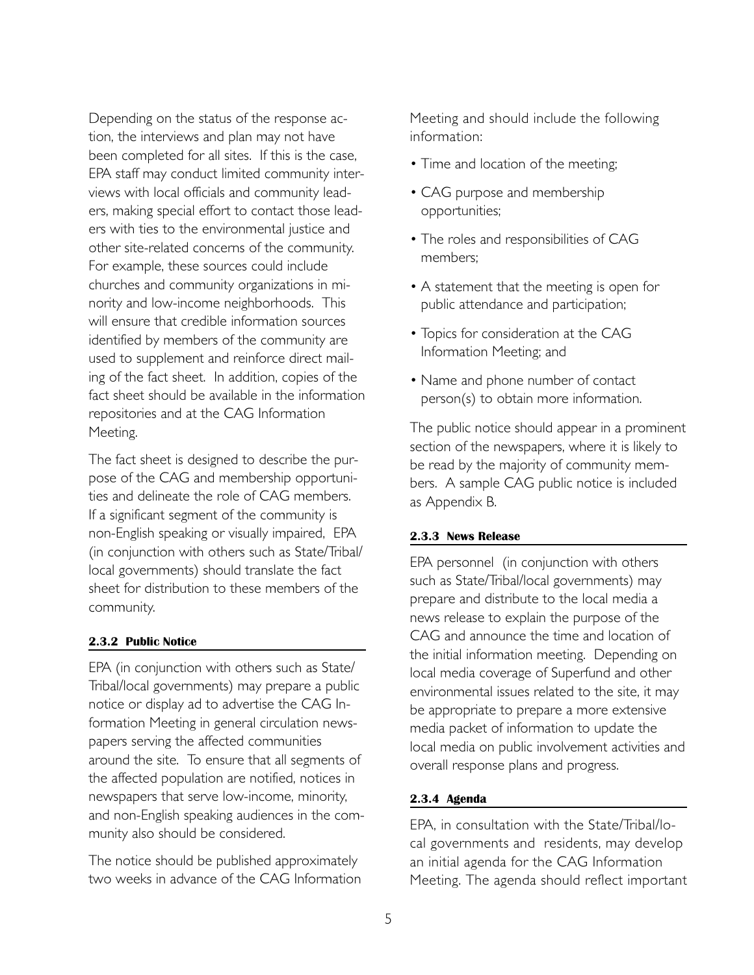Depending on the status of the response action, the interviews and plan may not have been completed for all sites. If this is the case, EPA staff may conduct limited community interviews with local officials and community leaders, making special effort to contact those leaders with ties to the environmental justice and other site-related concerns of the community. For example, these sources could include churches and community organizations in minority and low-income neighborhoods. This will ensure that credible information sources identified by members of the community are used to supplement and reinforce direct mailing of the fact sheet. In addition, copies of the fact sheet should be available in the information repositories and at the CAG Information Meeting.

The fact sheet is designed to describe the purpose of the CAG and membership opportunities and delineate the role of CAG members. If a significant segment of the community is non-English speaking or visually impaired, EPA (in conjunction with others such as State/Tribal/ local governments) should translate the fact sheet for distribution to these members of the community.

#### **2.3.2 Public Notice**

EPA (in conjunction with others such as State/ Tribal/local governments) may prepare a public notice or display ad to advertise the CAG Information Meeting in general circulation newspapers serving the affected communities around the site. To ensure that all segments of the affected population are notified, notices in newspapers that serve low-income, minority, and non-English speaking audiences in the community also should be considered.

The notice should be published approximately two weeks in advance of the CAG Information Meeting and should include the following information:

- Time and location of the meeting;
- CAG purpose and membership opportunities;
- The roles and responsibilities of CAG members;
- A statement that the meeting is open for public attendance and participation;
- Topics for consideration at the CAG Information Meeting; and
- Name and phone number of contact person(s) to obtain more information.

The public notice should appear in a prominent section of the newspapers, where it is likely to be read by the majority of community members. A sample CAG public notice is included as Appendix B.

#### **2.3.3 News Release**

EPA personnel (in conjunction with others such as State/Tribal/local governments) may prepare and distribute to the local media a news release to explain the purpose of the CAG and announce the time and location of the initial information meeting. Depending on local media coverage of Superfund and other environmental issues related to the site, it may be appropriate to prepare a more extensive media packet of information to update the local media on public involvement activities and overall response plans and progress.

## **2.3.4 Agenda**

EPA, in consultation with the State/Tribal/local governments and residents, may develop an initial agenda for the CAG Information Meeting. The agenda should reflect important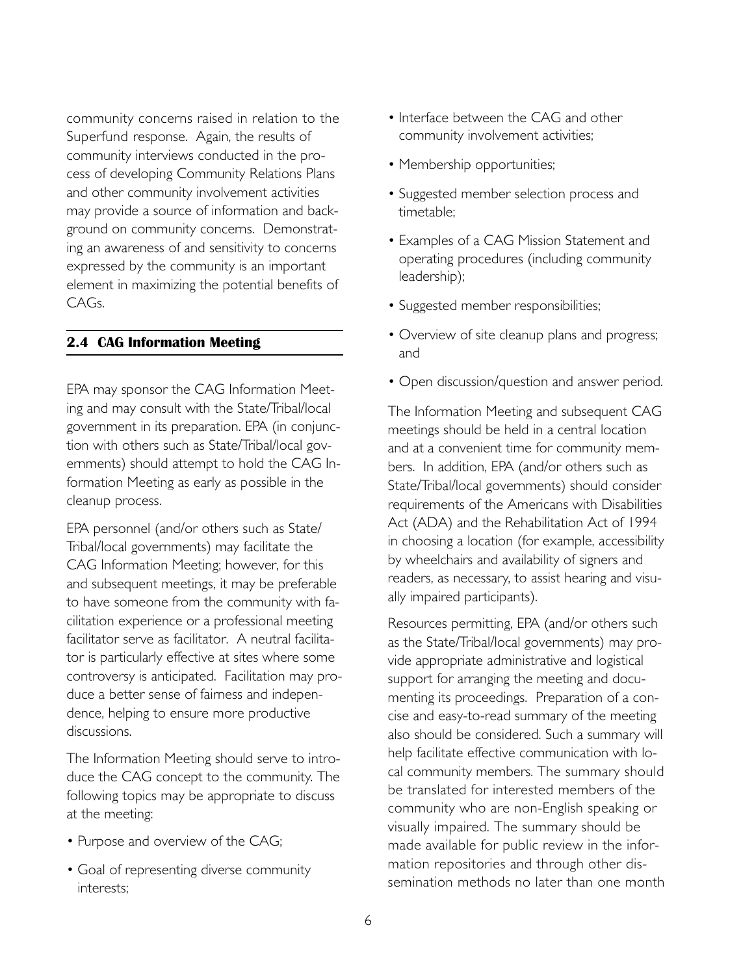community concerns raised in relation to the Superfund response. Again, the results of community interviews conducted in the process of developing Community Relations Plans and other community involvement activities may provide a source of information and background on community concerns. Demonstrating an awareness of and sensitivity to concerns expressed by the community is an important element in maximizing the potential benefits of CAGs.

## **2.4 CAG Information Meeting**

EPA may sponsor the CAG Information Meeting and may consult with the State/Tribal/local government in its preparation. EPA (in conjunction with others such as State/Tribal/local governments) should attempt to hold the CAG Information Meeting as early as possible in the cleanup process.

EPA personnel (and/or others such as State/ Tribal/local governments) may facilitate the CAG Information Meeting; however, for this and subsequent meetings, it may be preferable to have someone from the community with facilitation experience or a professional meeting facilitator serve as facilitator. A neutral facilitator is particularly effective at sites where some controversy is anticipated. Facilitation may produce a better sense of fairness and independence, helping to ensure more productive discussions.

The Information Meeting should serve to introduce the CAG concept to the community. The following topics may be appropriate to discuss at the meeting:

- Purpose and overview of the CAG;
- Goal of representing diverse community interests;
- Interface between the CAG and other community involvement activities;
- Membership opportunities;
- Suggested member selection process and timetable;
- Examples of a CAG Mission Statement and operating procedures (including community leadership);
- Suggested member responsibilities;
- Overview of site cleanup plans and progress; and
- Open discussion/question and answer period.

The Information Meeting and subsequent CAG meetings should be held in a central location and at a convenient time for community members. In addition, EPA (and/or others such as State/Tribal/local governments) should consider requirements of the Americans with Disabilities Act (ADA) and the Rehabilitation Act of 1994 in choosing a location (for example, accessibility by wheelchairs and availability of signers and readers, as necessary, to assist hearing and visually impaired participants).

Resources permitting, EPA (and/or others such as the State/Tribal/local governments) may provide appropriate administrative and logistical support for arranging the meeting and documenting its proceedings. Preparation of a concise and easy-to-read summary of the meeting also should be considered. Such a summary will help facilitate effective communication with local community members. The summary should be translated for interested members of the community who are non-English speaking or visually impaired. The summary should be made available for public review in the information repositories and through other dissemination methods no later than one month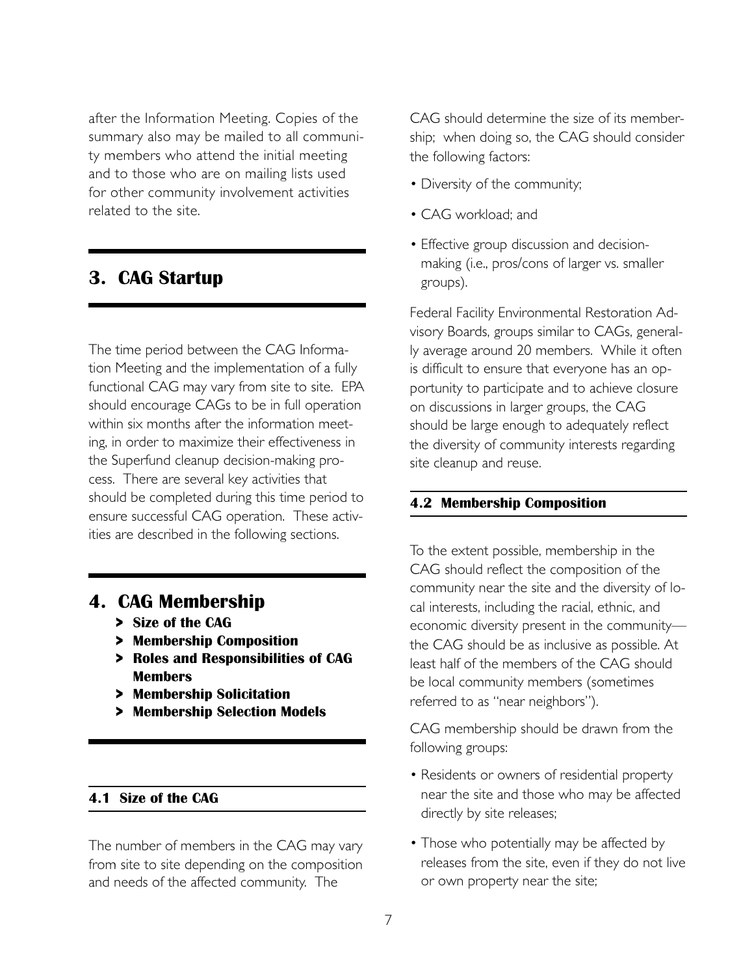after the Information Meeting. Copies of the summary also may be mailed to all community members who attend the initial meeting and to those who are on mailing lists used for other community involvement activities related to the site.

# **3. CAG Startup**

The time period between the CAG Information Meeting and the implementation of a fully functional CAG may vary from site to site. EPA should encourage CAGs to be in full operation within six months after the information meeting, in order to maximize their effectiveness in the Superfund cleanup decision-making process. There are several key activities that should be completed during this time period to ensure successful CAG operation. These activities are described in the following sections.

# **4. CAG Membership**

- **> Size of the CAG**
- **> Membership Composition**
- **> Roles and Responsibilities of CAG Members**
- **> Membership Solicitation**
- **> Membership Selection Models**

## **4.1 Size of the CAG**

The number of members in the CAG may vary from site to site depending on the composition and needs of the affected community. The

CAG should determine the size of its membership; when doing so, the CAG should consider the following factors:

- Diversity of the community;
- CAG workload; and
- Effective group discussion and decisionmaking (i.e., pros/cons of larger vs. smaller groups).

Federal Facility Environmental Restoration Advisory Boards, groups similar to CAGs, generally average around 20 members. While it often is difficult to ensure that everyone has an opportunity to participate and to achieve closure on discussions in larger groups, the CAG should be large enough to adequately reflect the diversity of community interests regarding site cleanup and reuse.

#### **4.2 Membership Composition**

To the extent possible, membership in the CAG should reflect the composition of the community near the site and the diversity of local interests, including the racial, ethnic, and economic diversity present in the community the CAG should be as inclusive as possible. At least half of the members of the CAG should be local community members (sometimes referred to as "near neighbors").

CAG membership should be drawn from the following groups:

- Residents or owners of residential property near the site and those who may be affected directly by site releases;
- Those who potentially may be affected by releases from the site, even if they do not live or own property near the site;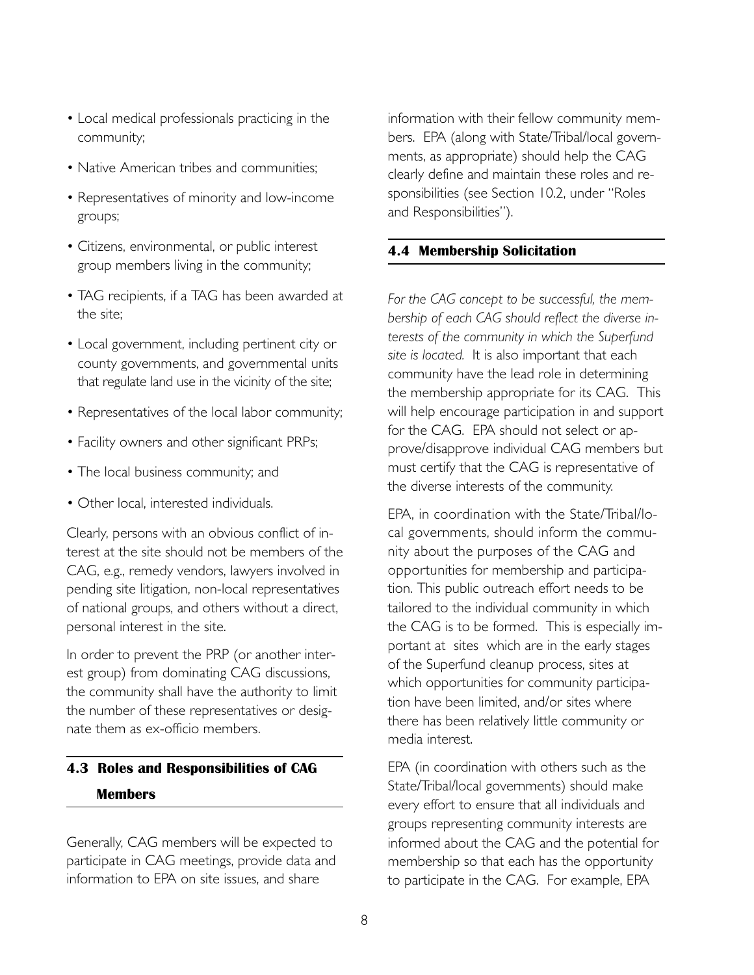- Local medical professionals practicing in the community;
- Native American tribes and communities;
- Representatives of minority and low-income groups;
- Citizens, environmental, or public interest group members living in the community;
- TAG recipients, if a TAG has been awarded at the site;
- Local government, including pertinent city or county governments, and governmental units that regulate land use in the vicinity of the site;
- Representatives of the local labor community;
- Facility owners and other significant PRPs;
- The local business community; and
- Other local, interested individuals.

Clearly, persons with an obvious conflict of interest at the site should not be members of the CAG, e.g., remedy vendors, lawyers involved in pending site litigation, non-local representatives of national groups, and others without a direct, personal interest in the site.

In order to prevent the PRP (or another interest group) from dominating CAG discussions, the community shall have the authority to limit the number of these representatives or designate them as ex-officio members.

# **4.3 Roles and Responsibilities of CAG Members**

Generally, CAG members will be expected to participate in CAG meetings, provide data and information to EPA on site issues, and share

information with their fellow community members. EPA (along with State/Tribal/local governments, as appropriate) should help the CAG clearly define and maintain these roles and responsibilities (see Section 10.2, under "Roles and Responsibilities").

# **4.4 Membership Solicitation**

*For the CAG concept to be successful, the membership of each CAG should reflect the diverse interests of the community in which the Superfund site is located.* It is also important that each community have the lead role in determining the membership appropriate for its CAG. This will help encourage participation in and support for the CAG. EPA should not select or approve/disapprove individual CAG members but must certify that the CAG is representative of the diverse interests of the community.

EPA, in coordination with the State/Tribal/local governments, should inform the community about the purposes of the CAG and opportunities for membership and participation. This public outreach effort needs to be tailored to the individual community in which the CAG is to be formed. This is especially important at sites which are in the early stages of the Superfund cleanup process, sites at which opportunities for community participation have been limited, and/or sites where there has been relatively little community or media interest.

EPA (in coordination with others such as the State/Tribal/local governments) should make every effort to ensure that all individuals and groups representing community interests are informed about the CAG and the potential for membership so that each has the opportunity to participate in the CAG. For example, EPA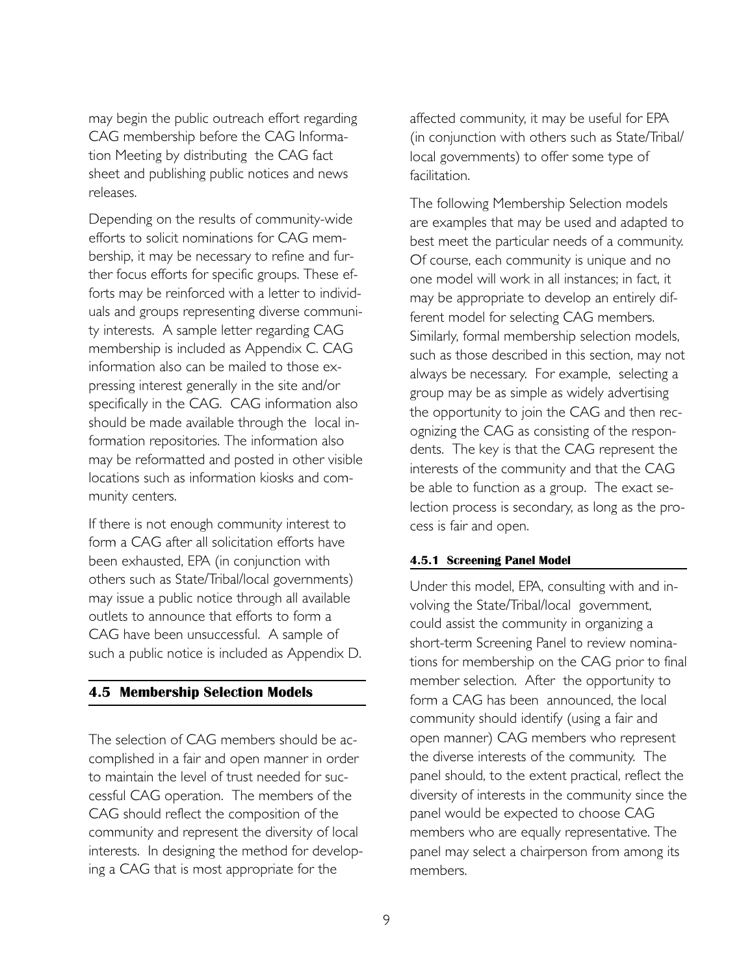may begin the public outreach effort regarding CAG membership before the CAG Information Meeting by distributing the CAG fact sheet and publishing public notices and news releases.

Depending on the results of community-wide efforts to solicit nominations for CAG membership, it may be necessary to refine and further focus efforts for specific groups. These efforts may be reinforced with a letter to individuals and groups representing diverse community interests. A sample letter regarding CAG membership is included as Appendix C. CAG information also can be mailed to those expressing interest generally in the site and/or specifically in the CAG. CAG information also should be made available through the local information repositories. The information also may be reformatted and posted in other visible locations such as information kiosks and community centers.

If there is not enough community interest to form a CAG after all solicitation efforts have been exhausted, EPA (in conjunction with others such as State/Tribal/local governments) may issue a public notice through all available outlets to announce that efforts to form a CAG have been unsuccessful. A sample of such a public notice is included as Appendix D.

## **4.5 Membership Selection Models**

The selection of CAG members should be accomplished in a fair and open manner in order to maintain the level of trust needed for successful CAG operation. The members of the CAG should reflect the composition of the community and represent the diversity of local interests. In designing the method for developing a CAG that is most appropriate for the

affected community, it may be useful for EPA (in conjunction with others such as State/Tribal/ local governments) to offer some type of facilitation.

The following Membership Selection models are examples that may be used and adapted to best meet the particular needs of a community. Of course, each community is unique and no one model will work in all instances; in fact, it may be appropriate to develop an entirely different model for selecting CAG members. Similarly, formal membership selection models, such as those described in this section, may not always be necessary. For example, selecting a group may be as simple as widely advertising the opportunity to join the CAG and then recognizing the CAG as consisting of the respondents. The key is that the CAG represent the interests of the community and that the CAG be able to function as a group. The exact selection process is secondary, as long as the process is fair and open.

#### **4.5.1 Screening Panel Model**

Under this model, EPA, consulting with and involving the State/Tribal/local government, could assist the community in organizing a short-term Screening Panel to review nominations for membership on the CAG prior to final member selection. After the opportunity to form a CAG has been announced, the local community should identify (using a fair and open manner) CAG members who represent the diverse interests of the community. The panel should, to the extent practical, reflect the diversity of interests in the community since the panel would be expected to choose CAG members who are equally representative. The panel may select a chairperson from among its members.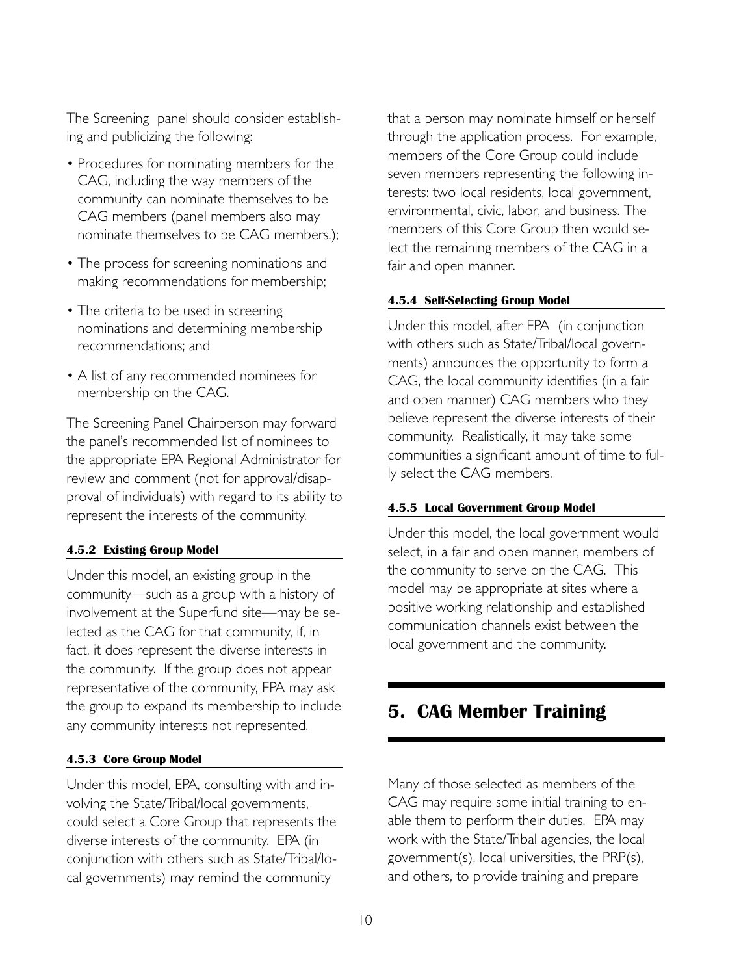The Screening panel should consider establishing and publicizing the following:

- Procedures for nominating members for the CAG, including the way members of the community can nominate themselves to be CAG members (panel members also may nominate themselves to be CAG members.);
- The process for screening nominations and making recommendations for membership;
- The criteria to be used in screening nominations and determining membership recommendations; and
- A list of any recommended nominees for membership on the CAG.

The Screening Panel Chairperson may forward the panel's recommended list of nominees to the appropriate EPA Regional Administrator for review and comment (not for approval/disapproval of individuals) with regard to its ability to represent the interests of the community.

#### **4.5.2 Existing Group Model**

Under this model, an existing group in the community—such as a group with a history of involvement at the Superfund site—may be selected as the CAG for that community, if, in fact, it does represent the diverse interests in the community. If the group does not appear representative of the community, EPA may ask the group to expand its membership to include any community interests not represented.

#### **4.5.3 Core Group Model**

Under this model, EPA, consulting with and involving the State/Tribal/local governments, could select a Core Group that represents the diverse interests of the community. EPA (in conjunction with others such as State/Tribal/local governments) may remind the community

that a person may nominate himself or herself through the application process. For example, members of the Core Group could include seven members representing the following interests: two local residents, local government, environmental, civic, labor, and business. The members of this Core Group then would select the remaining members of the CAG in a fair and open manner.

#### **4.5.4 Self-Selecting Group Model**

Under this model, after EPA (in conjunction with others such as State/Tribal/local governments) announces the opportunity to form a CAG, the local community identifies (in a fair and open manner) CAG members who they believe represent the diverse interests of their community. Realistically, it may take some communities a significant amount of time to fully select the CAG members.

#### **4.5.5 Local Government Group Model**

Under this model, the local government would select, in a fair and open manner, members of the community to serve on the CAG. This model may be appropriate at sites where a positive working relationship and established communication channels exist between the local government and the community.

# **5. CAG Member Training**

Many of those selected as members of the CAG may require some initial training to enable them to perform their duties. EPA may work with the State/Tribal agencies, the local government(s), local universities, the PRP(s), and others, to provide training and prepare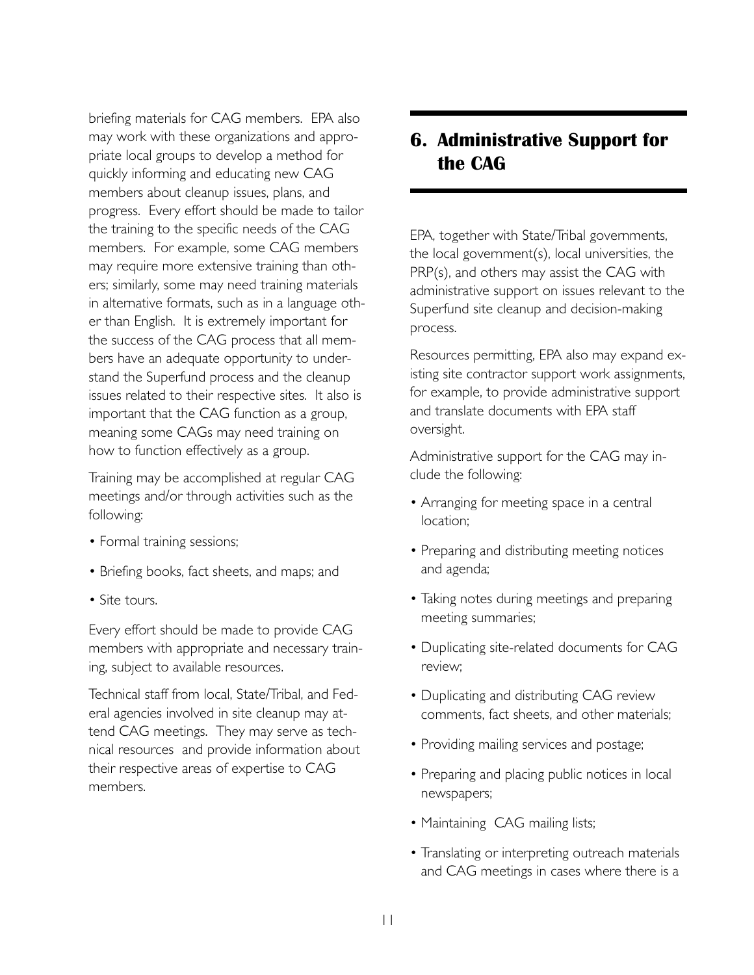briefing materials for CAG members. EPA also may work with these organizations and appropriate local groups to develop a method for quickly informing and educating new CAG members about cleanup issues, plans, and progress. Every effort should be made to tailor the training to the specific needs of the CAG members. For example, some CAG members may require more extensive training than others; similarly, some may need training materials in alternative formats, such as in a language other than English. It is extremely important for the success of the CAG process that all members have an adequate opportunity to understand the Superfund process and the cleanup issues related to their respective sites. It also is important that the CAG function as a group, meaning some CAGs may need training on how to function effectively as a group.

Training may be accomplished at regular CAG meetings and/or through activities such as the following:

- Formal training sessions;
- Briefing books, fact sheets, and maps; and
- Site tours.

Every effort should be made to provide CAG members with appropriate and necessary training, subject to available resources.

Technical staff from local, State/Tribal, and Federal agencies involved in site cleanup may attend CAG meetings. They may serve as technical resources and provide information about their respective areas of expertise to CAG members.

# **6. Administrative Support for the CAG**

EPA, together with State/Tribal governments, the local government(s), local universities, the PRP(s), and others may assist the CAG with administrative support on issues relevant to the Superfund site cleanup and decision-making process.

Resources permitting, EPA also may expand existing site contractor support work assignments, for example, to provide administrative support and translate documents with EPA staff oversight.

Administrative support for the CAG may include the following:

- Arranging for meeting space in a central location;
- Preparing and distributing meeting notices and agenda;
- Taking notes during meetings and preparing meeting summaries;
- Duplicating site-related documents for CAG review;
- Duplicating and distributing CAG review comments, fact sheets, and other materials;
- Providing mailing services and postage;
- Preparing and placing public notices in local newspapers;
- Maintaining CAG mailing lists;
- Translating or interpreting outreach materials and CAG meetings in cases where there is a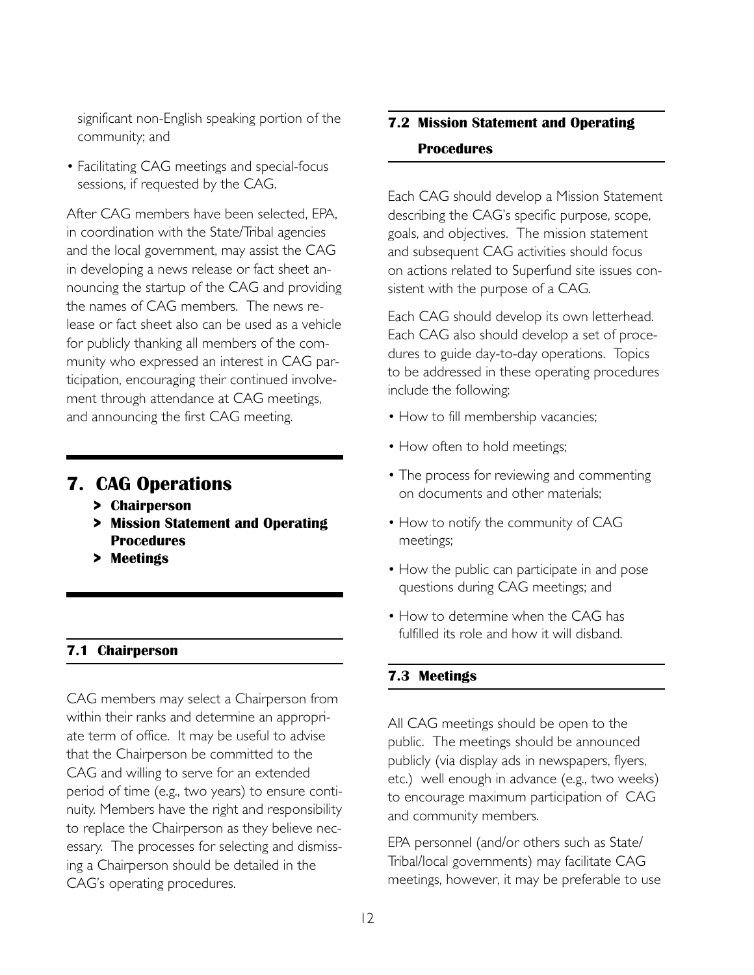significant non-English speaking portion of the community; and

• Facilitating CAG meetings and special-focus sessions, if requested by the CAG.

After CAG members have been selected, EPA, in coordination with the State/Tribal agencies and the local government, may assist the CAG in developing a news release or fact sheet announcing the startup of the CAG and providing the names of CAG members. The news release or fact sheet also can be used as a vehicle for publicly thanking all members of the community who expressed an interest in CAG participation, encouraging their continued involvement through attendance at CAG meetings, and announcing the first CAG meeting.

# **7. CAG Operations**

- **> Chairperson**
- **> Mission Statement and Operating Procedures**
- **> Meetings**

# **7.1 Chairperson**

CAG members may select a Chairperson from within their ranks and determine an appropriate term of office. It may be useful to advise that the Chairperson be committed to the CAG and willing to serve for an extended period of time (e.g., two years) to ensure continuity. Members have the right and responsibility to replace the Chairperson as they believe necessary. The processes for selecting and dismissing a Chairperson should be detailed in the CAG's operating procedures.

# **7.2 Mission Statement and Operating Procedures**

Each CAG should develop a Mission Statement describing the CAG's specific purpose, scope, goals, and objectives. The mission statement and subsequent CAG activities should focus on actions related to Superfund site issues consistent with the purpose of a CAG.

Each CAG should develop its own letterhead. Each CAG also should develop a set of procedures to guide day-to-day operations. Topics to be addressed in these operating procedures include the following:

- How to fill membership vacancies;
- How often to hold meetings;
- The process for reviewing and commenting on documents and other materials;
- How to notify the community of CAG meetings;
- How the public can participate in and pose questions during CAG meetings; and
- How to determine when the CAG has fulfilled its role and how it will disband.

# **7.3 Meetings**

All CAG meetings should be open to the public. The meetings should be announced publicly (via display ads in newspapers, flyers, etc.) well enough in advance (e.g., two weeks) to encourage maximum participation of CAG and community members.

EPA personnel (and/or others such as State/ Tribal/local governments) may facilitate CAG meetings, however, it may be preferable to use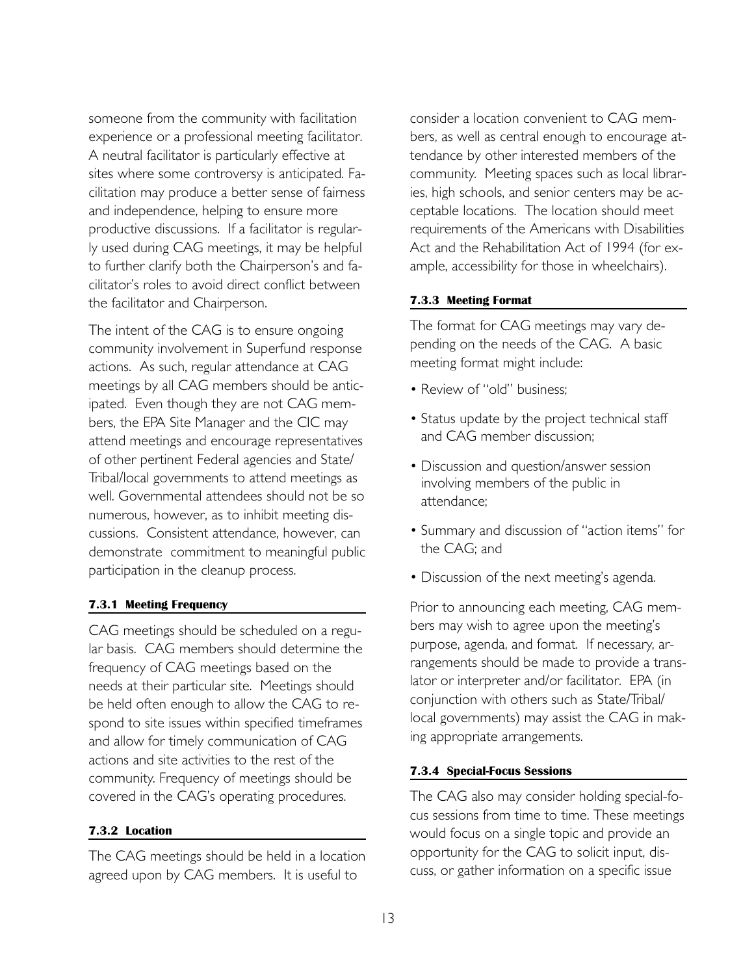someone from the community with facilitation experience or a professional meeting facilitator. A neutral facilitator is particularly effective at sites where some controversy is anticipated. Facilitation may produce a better sense of fairness and independence, helping to ensure more productive discussions. If a facilitator is regularly used during CAG meetings, it may be helpful to further clarify both the Chairperson's and facilitator's roles to avoid direct conflict between the facilitator and Chairperson.

The intent of the CAG is to ensure ongoing community involvement in Superfund response actions. As such, regular attendance at CAG meetings by all CAG members should be anticipated. Even though they are not CAG members, the EPA Site Manager and the CIC may attend meetings and encourage representatives of other pertinent Federal agencies and State/ Tribal/local governments to attend meetings as well. Governmental attendees should not be so numerous, however, as to inhibit meeting discussions. Consistent attendance, however, can demonstrate commitment to meaningful public participation in the cleanup process.

#### **7.3.1 Meeting Frequency**

CAG meetings should be scheduled on a regular basis. CAG members should determine the frequency of CAG meetings based on the needs at their particular site. Meetings should be held often enough to allow the CAG to respond to site issues within specified timeframes and allow for timely communication of CAG actions and site activities to the rest of the community. Frequency of meetings should be covered in the CAG's operating procedures.

## **7.3.2 Location**

The CAG meetings should be held in a location agreed upon by CAG members. It is useful to

consider a location convenient to CAG members, as well as central enough to encourage attendance by other interested members of the community. Meeting spaces such as local libraries, high schools, and senior centers may be acceptable locations. The location should meet requirements of the Americans with Disabilities Act and the Rehabilitation Act of 1994 (for example, accessibility for those in wheelchairs).

#### **7.3.3 Meeting Format**

The format for CAG meetings may vary depending on the needs of the CAG. A basic meeting format might include:

- Review of "old" business;
- Status update by the project technical staff and CAG member discussion;
- Discussion and question/answer session involving members of the public in attendance;
- Summary and discussion of "action items" for the CAG; and
- Discussion of the next meeting's agenda.

Prior to announcing each meeting, CAG members may wish to agree upon the meeting's purpose, agenda, and format. If necessary, arrangements should be made to provide a translator or interpreter and/or facilitator. EPA (in conjunction with others such as State/Tribal/ local governments) may assist the CAG in making appropriate arrangements.

#### **7.3.4 Special-Focus Sessions**

The CAG also may consider holding special-focus sessions from time to time. These meetings would focus on a single topic and provide an opportunity for the CAG to solicit input, discuss, or gather information on a specific issue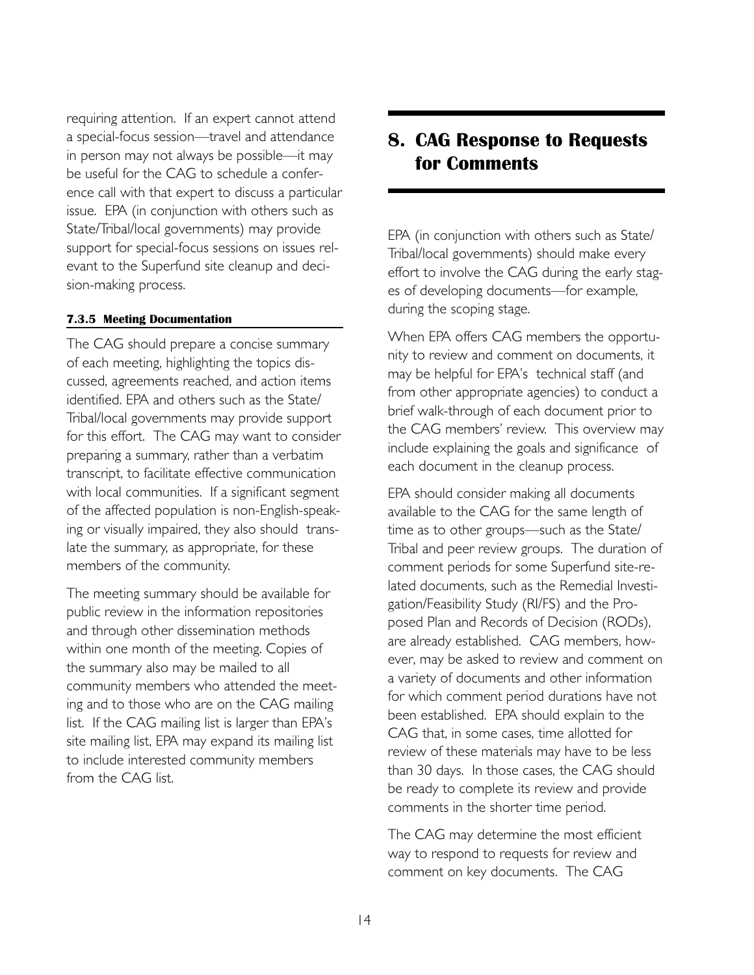requiring attention. If an expert cannot attend a special-focus session—travel and attendance in person may not always be possible—it may be useful for the CAG to schedule a conference call with that expert to discuss a particular issue. EPA (in conjunction with others such as State/Tribal/local governments) may provide support for special-focus sessions on issues relevant to the Superfund site cleanup and decision-making process.

#### **7.3.5 Meeting Documentation**

The CAG should prepare a concise summary of each meeting, highlighting the topics discussed, agreements reached, and action items identified. EPA and others such as the State/ Tribal/local governments may provide support for this effort. The CAG may want to consider preparing a summary, rather than a verbatim transcript, to facilitate effective communication with local communities. If a significant segment of the affected population is non-English-speaking or visually impaired, they also should translate the summary, as appropriate, for these members of the community.

The meeting summary should be available for public review in the information repositories and through other dissemination methods within one month of the meeting. Copies of the summary also may be mailed to all community members who attended the meeting and to those who are on the CAG mailing list. If the CAG mailing list is larger than EPA's site mailing list, EPA may expand its mailing list to include interested community members from the CAG list.

# **8. CAG Response to Requests for Comments**

EPA (in conjunction with others such as State/ Tribal/local governments) should make every effort to involve the CAG during the early stages of developing documents—for example, during the scoping stage.

When EPA offers CAG members the opportunity to review and comment on documents, it may be helpful for EPA's technical staff (and from other appropriate agencies) to conduct a brief walk-through of each document prior to the CAG members' review. This overview may include explaining the goals and significance of each document in the cleanup process.

EPA should consider making all documents available to the CAG for the same length of time as to other groups—such as the State/ Tribal and peer review groups. The duration of comment periods for some Superfund site-related documents, such as the Remedial Investigation/Feasibility Study (RI/FS) and the Proposed Plan and Records of Decision (RODs), are already established. CAG members, however, may be asked to review and comment on a variety of documents and other information for which comment period durations have not been established. EPA should explain to the CAG that, in some cases, time allotted for review of these materials may have to be less than 30 days. In those cases, the CAG should be ready to complete its review and provide comments in the shorter time period.

The CAG may determine the most efficient way to respond to requests for review and comment on key documents. The CAG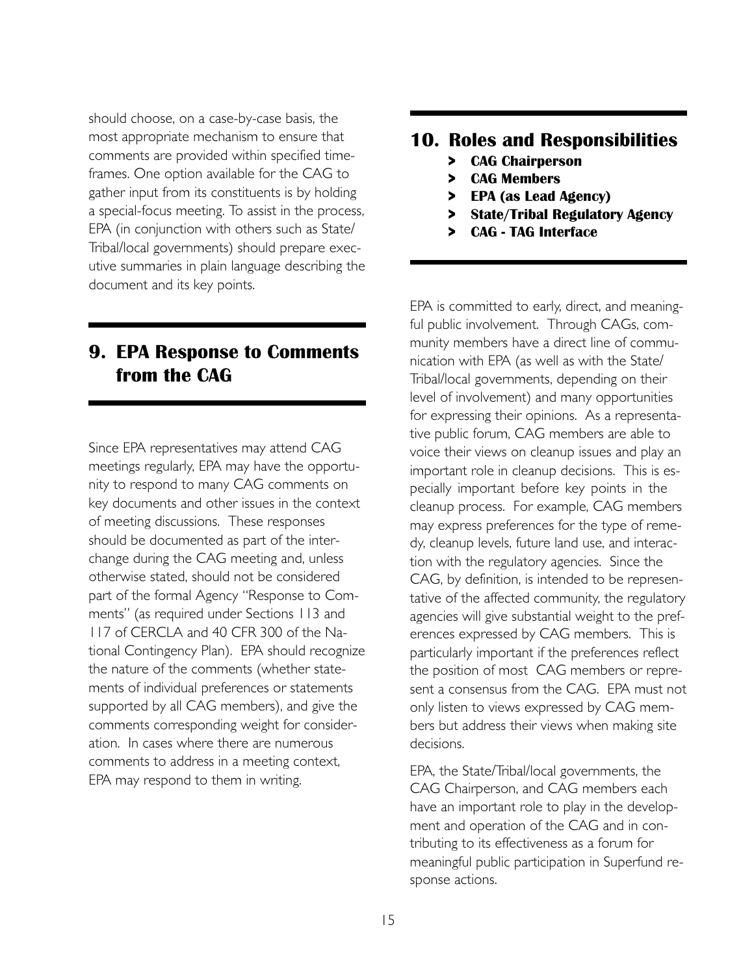should choose, on a case-by-case basis, the most appropriate mechanism to ensure that comments are provided within specified timeframes. One option available for the CAG to gather input from its constituents is by holding a special-focus meeting. To assist in the process, EPA (in conjunction with others such as State/ Tribal/local governments) should prepare executive summaries in plain language describing the document and its key points.

# **9. EPA Response to Comments from the CAG**

Since EPA representatives may attend CAG meetings regularly, EPA may have the opportunity to respond to many CAG comments on key documents and other issues in the context of meeting discussions. These responses should be documented as part of the interchange during the CAG meeting and, unless otherwise stated, should not be considered part of the formal Agency "Response to Comments" (as required under Sections 113 and 117 of CERCLA and 40 CFR 300 of the National Contingency Plan). EPA should recognize the nature of the comments (whether statements of individual preferences or statements supported by all CAG members), and give the comments corresponding weight for consideration. In cases where there are numerous comments to address in a meeting context, EPA may respond to them in writing.

# **10. Roles and Responsibilities**

- **> CAG Chairperson**
- **> CAG Members**
- **> EPA (as Lead Agency)**
- **> State/Tribal Regulatory Agency**
- **> CAG TAG Interface**

EPA is committed to early, direct, and meaningful public involvement. Through CAGs, community members have a direct line of communication with EPA (as well as with the State/ Tribal/local governments, depending on their level of involvement) and many opportunities for expressing their opinions. As a representative public forum, CAG members are able to voice their views on cleanup issues and play an important role in cleanup decisions. This is especially important before key points in the cleanup process. For example, CAG members may express preferences for the type of remedy, cleanup levels, future land use, and interaction with the regulatory agencies. Since the CAG, by definition, is intended to be representative of the affected community, the regulatory agencies will give substantial weight to the preferences expressed by CAG members. This is particularly important if the preferences reflect the position of most CAG members or represent a consensus from the CAG. EPA must not only listen to views expressed by CAG members but address their views when making site decisions.

EPA, the State/Tribal/local governments, the CAG Chairperson, and CAG members each have an important role to play in the development and operation of the CAG and in contributing to its effectiveness as a forum for meaningful public participation in Superfund response actions.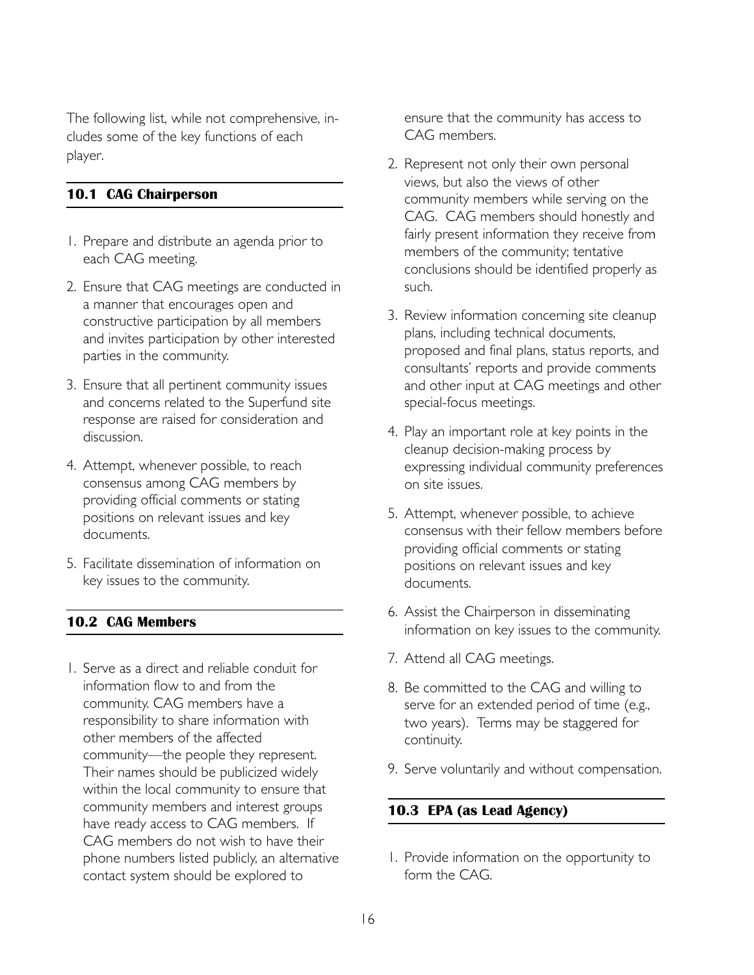The following list, while not comprehensive, includes some of the key functions of each player.

## **10.1 CAG Chairperson**

- 1. Prepare and distribute an agenda prior to each CAG meeting.
- 2. Ensure that CAG meetings are conducted in a manner that encourages open and constructive participation by all members and invites participation by other interested parties in the community.
- 3. Ensure that all pertinent community issues and concerns related to the Superfund site response are raised for consideration and discussion.
- 4. Attempt, whenever possible, to reach consensus among CAG members by providing official comments or stating positions on relevant issues and key documents.
- 5. Facilitate dissemination of information on key issues to the community.

## **10.2 CAG Members**

1. Serve as a direct and reliable conduit for information flow to and from the community. CAG members have a responsibility to share information with other members of the affected community—the people they represent. Their names should be publicized widely within the local community to ensure that community members and interest groups have ready access to CAG members. If CAG members do not wish to have their phone numbers listed publicly, an alternative contact system should be explored to

ensure that the community has access to CAG members.

- 2. Represent not only their own personal views, but also the views of other community members while serving on the CAG. CAG members should honestly and fairly present information they receive from members of the community; tentative conclusions should be identified properly as such.
- 3. Review information concerning site cleanup plans, including technical documents, proposed and final plans, status reports, and consultants' reports and provide comments and other input at CAG meetings and other special-focus meetings.
- 4. Play an important role at key points in the cleanup decision-making process by expressing individual community preferences on site issues.
- 5. Attempt, whenever possible, to achieve consensus with their fellow members before providing official comments or stating positions on relevant issues and key documents.
- 6. Assist the Chairperson in disseminating information on key issues to the community.
- 7. Attend all CAG meetings.
- 8. Be committed to the CAG and willing to serve for an extended period of time (e.g., two years). Terms may be staggered for continuity.
- 9. Serve voluntarily and without compensation.

## **10.3 EPA (as Lead Agency)**

1. Provide information on the opportunity to form the CAG.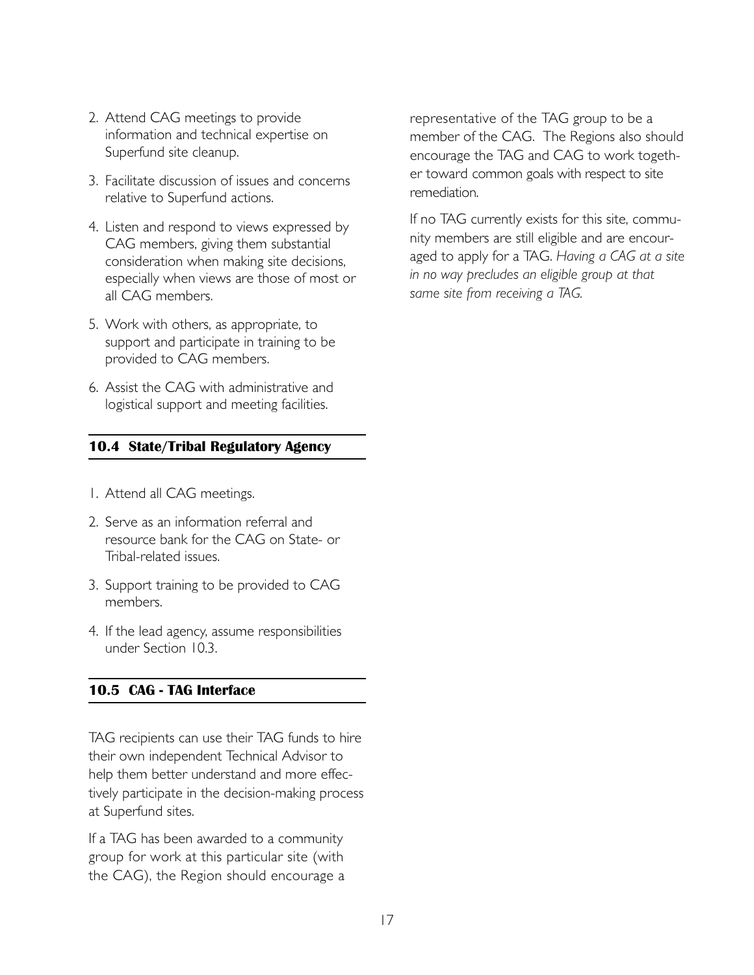- 2. Attend CAG meetings to provide information and technical expertise on Superfund site cleanup.
- 3. Facilitate discussion of issues and concerns relative to Superfund actions.
- 4. Listen and respond to views expressed by CAG members, giving them substantial consideration when making site decisions, especially when views are those of most or all CAG members.
- 5. Work with others, as appropriate, to support and participate in training to be provided to CAG members.
- 6. Assist the CAG with administrative and logistical support and meeting facilities.

# **10.4 State/Tribal Regulatory Agency**

- 1. Attend all CAG meetings.
- 2. Serve as an information referral and resource bank for the CAG on State- or Tribal-related issues.
- 3. Support training to be provided to CAG members.
- 4. If the lead agency, assume responsibilities under Section 10.3.

# **10.5 CAG - TAG Interface**

TAG recipients can use their TAG funds to hire their own independent Technical Advisor to help them better understand and more effectively participate in the decision-making process at Superfund sites.

If a TAG has been awarded to a community group for work at this particular site (with the CAG), the Region should encourage a representative of the TAG group to be a member of the CAG. The Regions also should encourage the TAG and CAG to work together toward common goals with respect to site remediation.

If no TAG currently exists for this site, community members are still eligible and are encouraged to apply for a TAG. *Having a CAG at a site in no way precludes an eligible group at that same site from receiving a TAG.*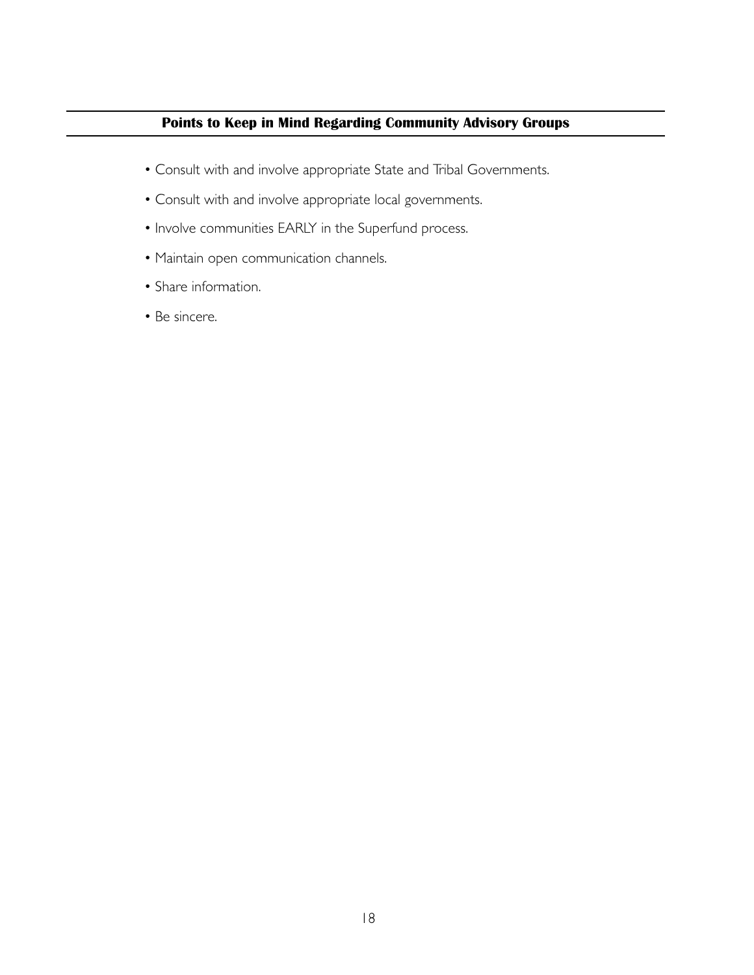# **Points to Keep in Mind Regarding Community Advisory Groups**

- Consult with and involve appropriate State and Tribal Governments.
- Consult with and involve appropriate local governments.
- Involve communities EARLY in the Superfund process.
- Maintain open communication channels.
- Share information.
- Be sincere.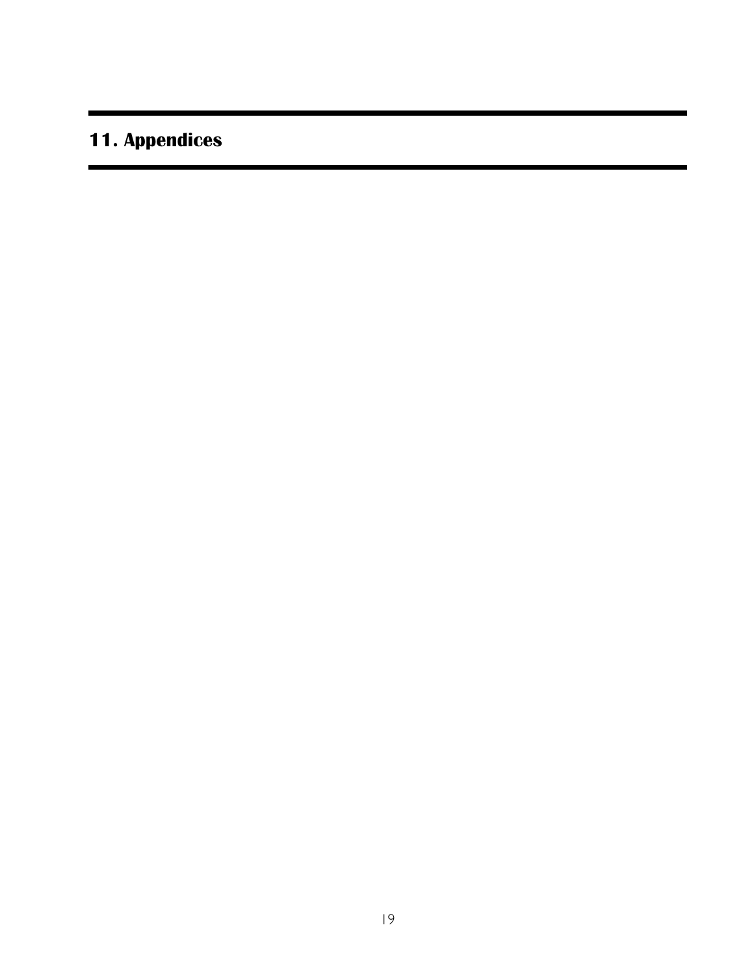# **11. Appendices**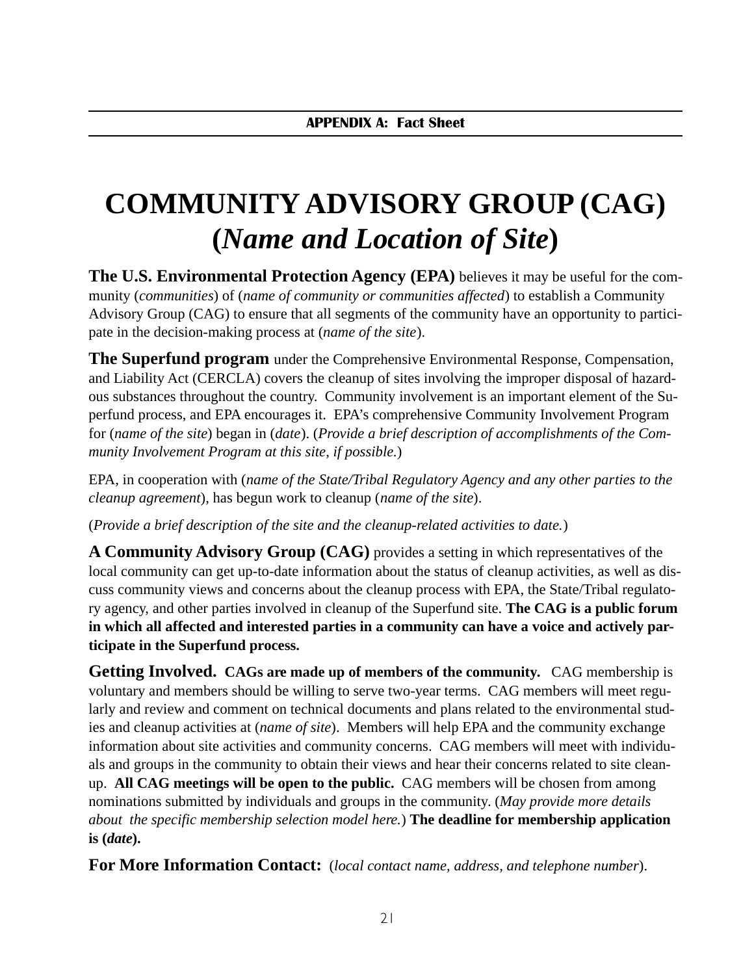# **COMMUNITY ADVISORY GROUP (CAG) (***Name and Location of Site***)**

**The U.S. Environmental Protection Agency (EPA)** believes it may be useful for the community (*communities*) of (*name of community or communities affected*) to establish a Community Advisory Group (CAG) to ensure that all segments of the community have an opportunity to participate in the decision-making process at (*name of the site*).

**The Superfund program** under the Comprehensive Environmental Response, Compensation, and Liability Act (CERCLA) covers the cleanup of sites involving the improper disposal of hazardous substances throughout the country. Community involvement is an important element of the Superfund process, and EPA encourages it. EPA's comprehensive Community Involvement Program for (*name of the site*) began in (*date*). (*Provide a brief description of accomplishments of the Community Involvement Program at this site, if possible.*)

EPA, in cooperation with (*name of the State/Tribal Regulatory Agency and any other parties to the cleanup agreement*), has begun work to cleanup (*name of the site*).

(*Provide a brief description of the site and the cleanup-related activities to date.*)

**A Community Advisory Group (CAG)** provides a setting in which representatives of the local community can get up-to-date information about the status of cleanup activities, as well as discuss community views and concerns about the cleanup process with EPA, the State/Tribal regulatory agency, and other parties involved in cleanup of the Superfund site. **The CAG is a public forum in which all affected and interested parties in a community can have a voice and actively participate in the Superfund process.**

**Getting Involved. CAGs are made up of members of the community.** CAG membership is voluntary and members should be willing to serve two-year terms. CAG members will meet regularly and review and comment on technical documents and plans related to the environmental studies and cleanup activities at (*name of site*). Members will help EPA and the community exchange information about site activities and community concerns. CAG members will meet with individuals and groups in the community to obtain their views and hear their concerns related to site cleanup. **All CAG meetings will be open to the public.** CAG members will be chosen from among nominations submitted by individuals and groups in the community. (*May provide more details about the specific membership selection model here.*) **The deadline for membership application is (***date***).**

**For More Information Contact:** (*local contact name, address, and telephone number*).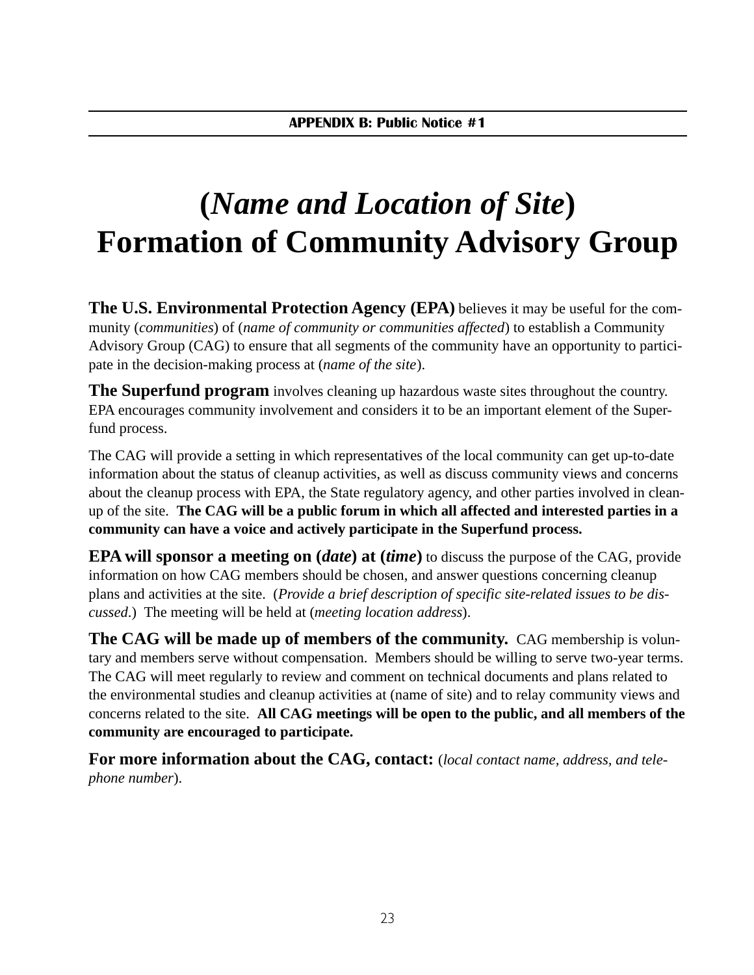# **(***Name and Location of Site***) Formation of Community Advisory Group**

**The U.S. Environmental Protection Agency (EPA)** believes it may be useful for the community (*communities*) of (*name of community or communities affected*) to establish a Community Advisory Group (CAG) to ensure that all segments of the community have an opportunity to participate in the decision-making process at (*name of the site*).

**The Superfund program** involves cleaning up hazardous waste sites throughout the country. EPA encourages community involvement and considers it to be an important element of the Superfund process.

The CAG will provide a setting in which representatives of the local community can get up-to-date information about the status of cleanup activities, as well as discuss community views and concerns about the cleanup process with EPA, the State regulatory agency, and other parties involved in cleanup of the site. **The CAG will be a public forum in which all affected and interested parties in a community can have a voice and actively participate in the Superfund process.**

**EPA will sponsor a meeting on (***date***) at (***time***)** to discuss the purpose of the CAG, provide information on how CAG members should be chosen, and answer questions concerning cleanup plans and activities at the site. (*Provide a brief description of specific site-related issues to be discussed*.) The meeting will be held at (*meeting location address*).

**The CAG will be made up of members of the community.** CAG membership is voluntary and members serve without compensation. Members should be willing to serve two-year terms. The CAG will meet regularly to review and comment on technical documents and plans related to the environmental studies and cleanup activities at (name of site) and to relay community views and concerns related to the site. **All CAG meetings will be open to the public, and all members of the community are encouraged to participate.**

**For more information about the CAG, contact:** (*local contact name, address, and telephone number*).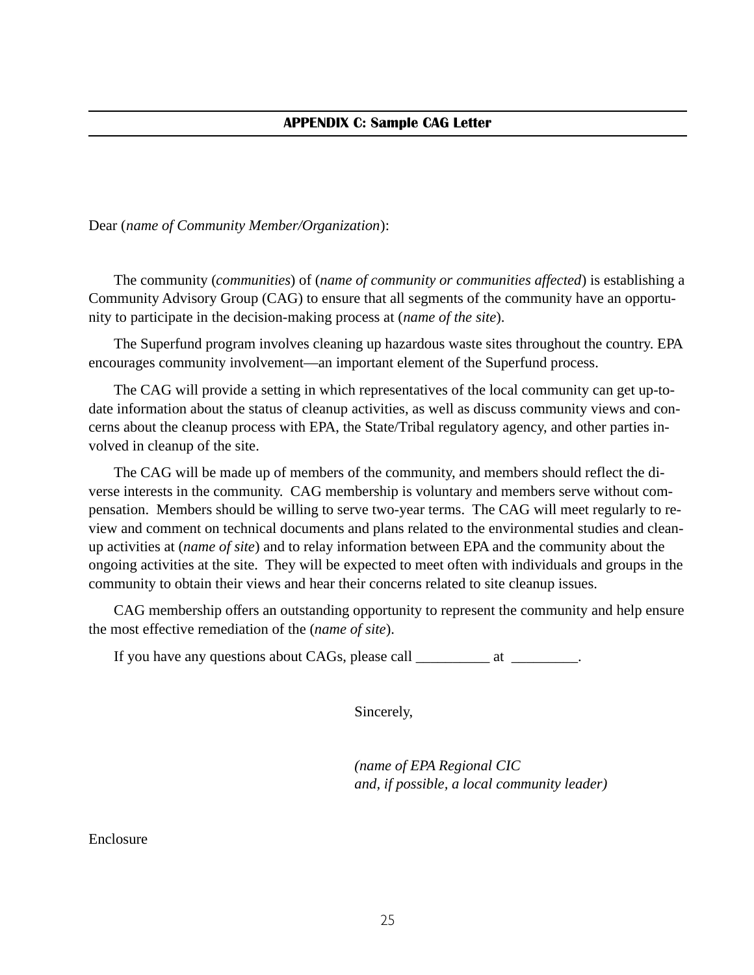Dear (*name of Community Member/Organization*):

The community (*communities*) of (*name of community or communities affected*) is establishing a Community Advisory Group (CAG) to ensure that all segments of the community have an opportunity to participate in the decision-making process at (*name of the site*).

The Superfund program involves cleaning up hazardous waste sites throughout the country. EPA encourages community involvement—an important element of the Superfund process.

The CAG will provide a setting in which representatives of the local community can get up-todate information about the status of cleanup activities, as well as discuss community views and concerns about the cleanup process with EPA, the State/Tribal regulatory agency, and other parties involved in cleanup of the site.

The CAG will be made up of members of the community, and members should reflect the diverse interests in the community. CAG membership is voluntary and members serve without compensation. Members should be willing to serve two-year terms. The CAG will meet regularly to review and comment on technical documents and plans related to the environmental studies and cleanup activities at (*name of site*) and to relay information between EPA and the community about the ongoing activities at the site. They will be expected to meet often with individuals and groups in the community to obtain their views and hear their concerns related to site cleanup issues.

CAG membership offers an outstanding opportunity to represent the community and help ensure the most effective remediation of the (*name of site*).

If you have any questions about CAGs, please call \_\_\_\_\_\_\_\_\_\_ at \_\_\_\_\_\_\_\_.

Sincerely,

*(name of EPA Regional CIC and, if possible, a local community leader)*

#### Enclosure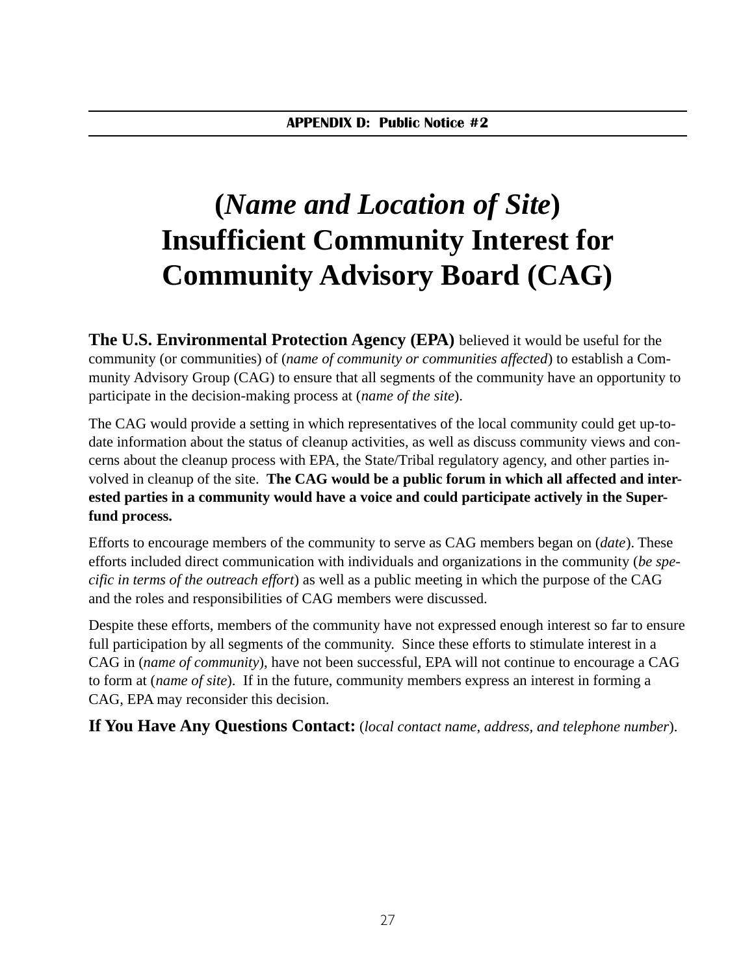# **(***Name and Location of Site***) Insufficient Community Interest for Community Advisory Board (CAG)**

**The U.S. Environmental Protection Agency (EPA)** believed it would be useful for the community (or communities) of (*name of community or communities affected*) to establish a Community Advisory Group (CAG) to ensure that all segments of the community have an opportunity to participate in the decision-making process at (*name of the site*).

The CAG would provide a setting in which representatives of the local community could get up-todate information about the status of cleanup activities, as well as discuss community views and concerns about the cleanup process with EPA, the State/Tribal regulatory agency, and other parties involved in cleanup of the site. **The CAG would be a public forum in which all affected and interested parties in a community would have a voice and could participate actively in the Superfund process.**

Efforts to encourage members of the community to serve as CAG members began on (*date*). These efforts included direct communication with individuals and organizations in the community (*be specific in terms of the outreach effort*) as well as a public meeting in which the purpose of the CAG and the roles and responsibilities of CAG members were discussed.

Despite these efforts, members of the community have not expressed enough interest so far to ensure full participation by all segments of the community. Since these efforts to stimulate interest in a CAG in (*name of community*), have not been successful, EPA will not continue to encourage a CAG to form at (*name of site*). If in the future, community members express an interest in forming a CAG, EPA may reconsider this decision.

**If You Have Any Questions Contact:** (*local contact name, address, and telephone number*).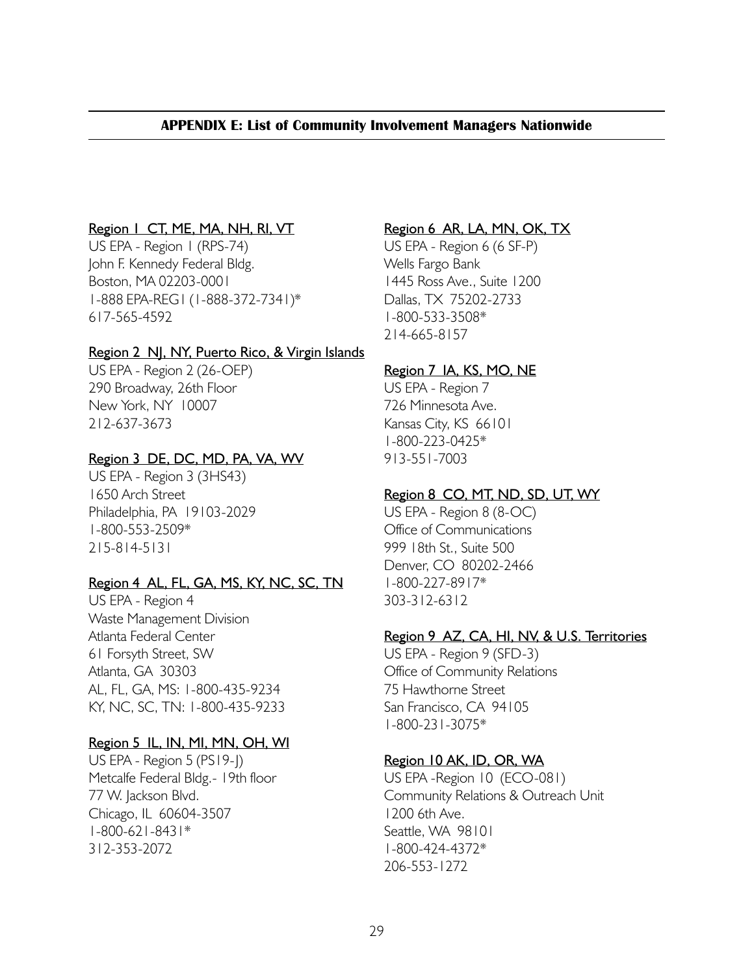## APPENDIX E: List of Community Involvement Managers Nationwide

#### Region | CT, ME, MA, NH, RI, VT

US EPA - Region 1 (RPS-74) John F. Kennedy Federal Bldg. Boston, MA 02203-0001 1-888 EPA-REG1 (1-888-372-7341)\* 617-565-4592

#### Region 2 NJ, NY, Puerto Rico, & Virgin Islands

US EPA - Region 2 (26-OEP) 290 Broadway, 26th Floor New York, NY 10007 212-637-3673

#### Region 3 DE, DC, MD, PA, VA, WV

US EPA - Region 3 (3HS43) 1650 Arch Street Philadelphia, PA 19103-2029 1-800-553-2509\* 215-814-5131

## Region 4 AL, FL, GA, MS, KY, NC, SC, TN

US EPA - Region 4 Waste Management Division Atlanta Federal Center 61 Forsyth Street, SW Atlanta, GA 30303 AL, FL, GA, MS: 1-800-435-9234 KY, NC, SC, TN: 1-800-435-9233

#### Region 5 IL, IN, MI, MN, OH, WI

US EPA - Region 5 (PS19-J) Metcalfe Federal Bldg.- 19th floor 77 W. Jackson Blvd. Chicago, IL 60604-3507 1-800-621-8431\* 312-353-2072

### Region 6 AR, LA, MN, OK, TX

US EPA - Region 6 (6 SF-P) Wells Fargo Bank 1445 Ross Ave., Suite 1200 Dallas, TX 75202-2733 1-800-533-3508\* 214-665-8157

## Region 7 IA, KS, MO, NE

US EPA - Region 7 726 Minnesota Ave. Kansas City, KS 66101 1-800-223-0425\* 913-551-7003

## Region 8 CO, MT, ND, SD, UT, WY

US EPA - Region 8 (8-OC) Office of Communications 999 18th St., Suite 500 Denver, CO 80202-2466 1-800-227-8917\* 303-312-6312

## Region 9 AZ, CA, HI, NV, & U.S. Territories

US EPA - Region 9 (SFD-3) Office of Community Relations 75 Hawthorne Street San Francisco, CA 94105 1-800-231-3075\*

## Region 10 AK, ID, OR, WA

US EPA -Region 10 (ECO-081) Community Relations & Outreach Unit 1200 6th Ave. Seattle, WA 98101 1-800-424-4372\* 206-553-1272